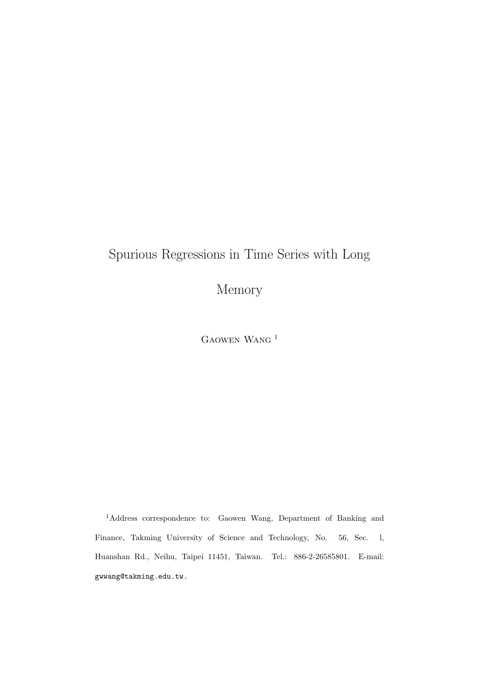# Spurious Regressions in Time Series with Long

Memory

Gaowen Wang <sup>1</sup>

<sup>1</sup>Address correspondence to: Gaowen Wang, Department of Banking and Finance, Takming University of Science and Technology, No. 56, Sec. l, Huanshan Rd., Neihu, Taipei 11451, Taiwan. Tel.: 886-2-26585801. E-mail: gwwang@takming.edu.tw.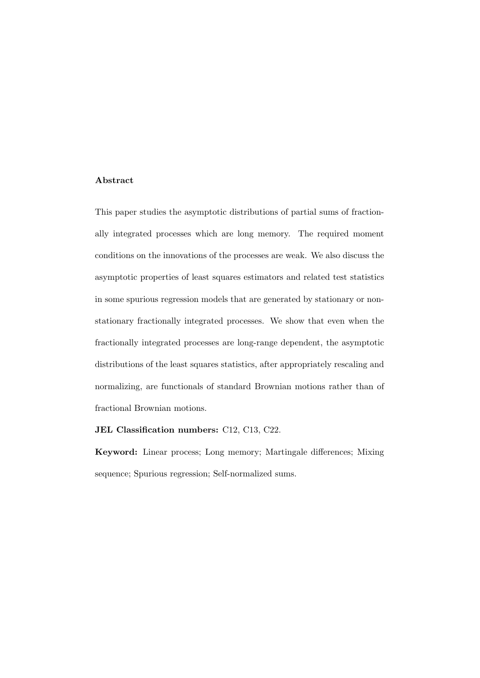#### Abstract

This paper studies the asymptotic distributions of partial sums of fractionally integrated processes which are long memory. The required moment conditions on the innovations of the processes are weak. We also discuss the asymptotic properties of least squares estimators and related test statistics in some spurious regression models that are generated by stationary or nonstationary fractionally integrated processes. We show that even when the fractionally integrated processes are long-range dependent, the asymptotic distributions of the least squares statistics, after appropriately rescaling and normalizing, are functionals of standard Brownian motions rather than of fractional Brownian motions.

JEL Classification numbers: C12, C13, C22.

Keyword: Linear process; Long memory; Martingale differences; Mixing sequence; Spurious regression; Self-normalized sums.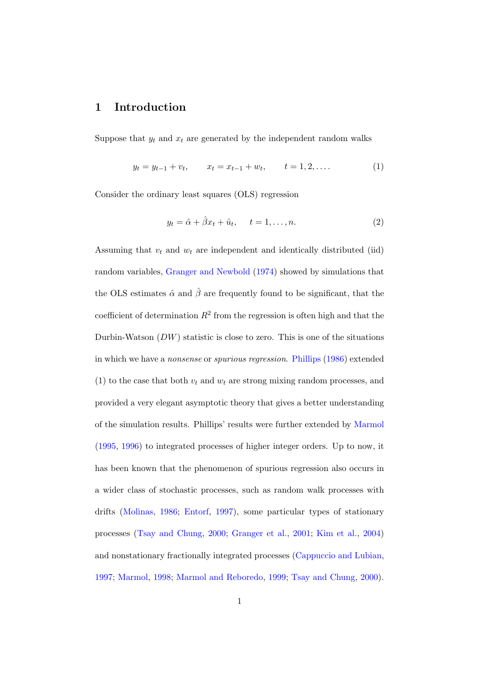## 1 Introduction

Suppose that  $y_t$  and  $x_t$  are generated by the independent random walks

$$
y_t = y_{t-1} + v_t, \qquad x_t = x_{t-1} + w_t, \qquad t = 1, 2, \dots
$$
 (1)

Consider the ordinary least squares (OLS) regression

$$
y_t = \hat{\alpha} + \hat{\beta}x_t + \hat{u}_t, \quad t = 1, \dots, n. \tag{2}
$$

Assuming that  $v_t$  and  $w_t$  are independent and identically distributed (iid) random variables, [Granger and Newbold](#page-30-0) [\(1974\)](#page-30-0) showed by simulations that the OLS estimates  $\hat{\alpha}$  and  $\hat{\beta}$  are frequently found to be significant, that the coefficient of determination  $R^2$  from the regression is often high and that the Durbin-Watson  $(DW)$  statistic is close to zero. This is one of the situations in which we have a nonsense or spurious regression. [Phillips](#page-31-0) [\(1986\)](#page-31-0) extended (1) to the case that both  $v_t$  and  $w_t$  are strong mixing random processes, and provided a very elegant asymptotic theory that gives a better understanding of the simulation results. Phillips' results were further extended by [Marmol](#page-30-1) [\(1995,](#page-30-1) [1996\)](#page-31-1) to integrated processes of higher integer orders. Up to now, it has been known that the phenomenon of spurious regression also occurs in a wider class of stochastic processes, such as random walk processes with drifts [\(Molinas,](#page-31-2) [1986;](#page-31-2) [Entorf,](#page-29-0) [1997\)](#page-29-0), some particular types of stationary processes [\(Tsay and Chung,](#page-32-0) [2000;](#page-32-0) [Granger et al.,](#page-29-1) [2001;](#page-29-1) [Kim et al.,](#page-30-2) [2004\)](#page-30-2) and nonstationary fractionally integrated processes [\(Cappuccio and Lubian,](#page-28-0) [1997;](#page-28-0) [Marmol,](#page-31-3) [1998;](#page-31-3) [Marmol and Reboredo,](#page-31-4) [1999;](#page-31-4) [Tsay and Chung,](#page-32-0) [2000\)](#page-32-0).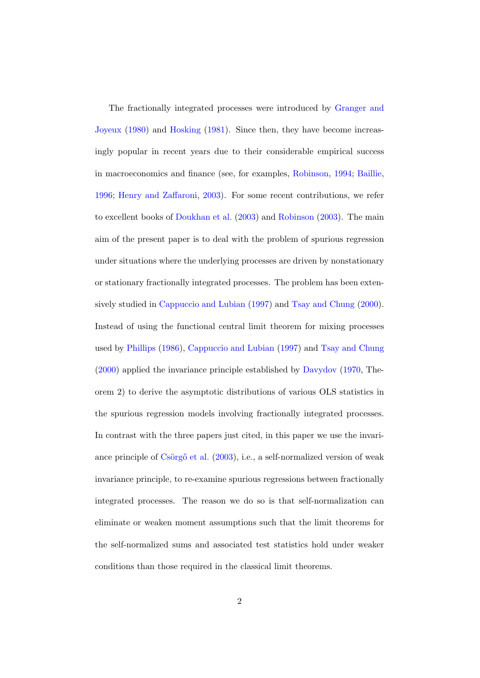The fractionally integrated processes were introduced by [Granger and](#page-29-2) [Joyeux](#page-29-2) [\(1980\)](#page-29-2) and [Hosking](#page-30-3) [\(1981\)](#page-30-3). Since then, they have become increasingly popular in recent years due to their considerable empirical success in macroeconomics and finance (see, for examples, [Robinson,](#page-32-1) [1994;](#page-32-1) [Baillie,](#page-28-1) [1996;](#page-28-1) [Henry and Zaffaroni,](#page-30-4) [2003\)](#page-30-4). For some recent contributions, we refer to excellent books of [Doukhan et al.](#page-29-3) [\(2003\)](#page-29-3) and [Robinson](#page-32-2) [\(2003\)](#page-32-2). The main aim of the present paper is to deal with the problem of spurious regression under situations where the underlying processes are driven by nonstationary or stationary fractionally integrated processes. The problem has been extensively studied in [Cappuccio and Lubian](#page-28-0) [\(1997\)](#page-28-0) and [Tsay and Chung](#page-32-0) [\(2000\)](#page-32-0). Instead of using the functional central limit theorem for mixing processes used by [Phillips](#page-31-0) [\(1986\)](#page-31-0), [Cappuccio and Lubian](#page-28-0) [\(1997\)](#page-28-0) and [Tsay and Chung](#page-32-0) [\(2000\)](#page-32-0) applied the invariance principle established by [Davydov](#page-28-2) [\(1970,](#page-28-2) Theorem 2) to derive the asymptotic distributions of various OLS statistics in the spurious regression models involving fractionally integrated processes. In contrast with the three papers just cited, in this paper we use the invariance principle of  $\check{\mathrm{Csorg}}$ <sup>o</sup> et al.  $(2003)$ , i.e., a self-normalized version of weak invariance principle, to re-examine spurious regressions between fractionally integrated processes. The reason we do so is that self-normalization can eliminate or weaken moment assumptions such that the limit theorems for the self-normalized sums and associated test statistics hold under weaker conditions than those required in the classical limit theorems.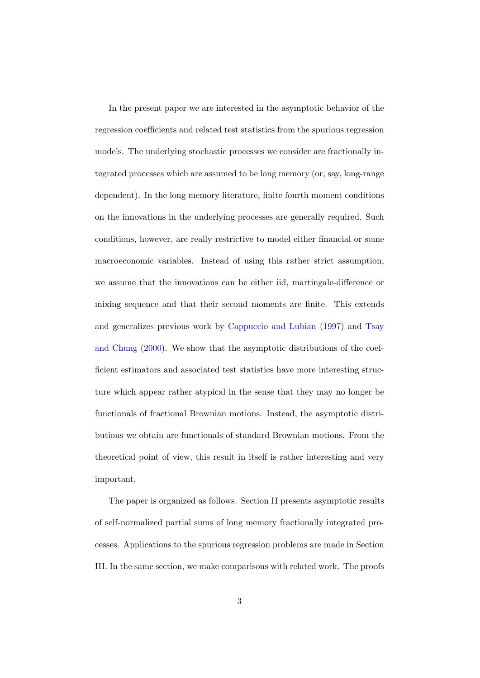In the present paper we are interested in the asymptotic behavior of the regression coefficients and related test statistics from the spurious regression models. The underlying stochastic processes we consider are fractionally integrated processes which are assumed to be long memory (or, say, long-range dependent). In the long memory literature, finite fourth moment conditions on the innovations in the underlying processes are generally required. Such conditions, however, are really restrictive to model either financial or some macroeconomic variables. Instead of using this rather strict assumption, we assume that the innovations can be either iid, martingale-difference or mixing sequence and that their second moments are finite. This extends and generalizes previous work by [Cappuccio and Lubian](#page-28-0) [\(1997\)](#page-28-0) and [Tsay](#page-32-0) [and Chung](#page-32-0) [\(2000\)](#page-32-0). We show that the asymptotic distributions of the coefficient estimators and associated test statistics have more interesting structure which appear rather atypical in the sense that they may no longer be functionals of fractional Brownian motions. Instead, the asymptotic distributions we obtain are functionals of standard Brownian motions. From the theoretical point of view, this result in itself is rather interesting and very important.

The paper is organized as follows. Section II presents asymptotic results of self-normalized partial sums of long memory fractionally integrated processes. Applications to the spurious regression problems are made in Section III. In the same section, we make comparisons with related work. The proofs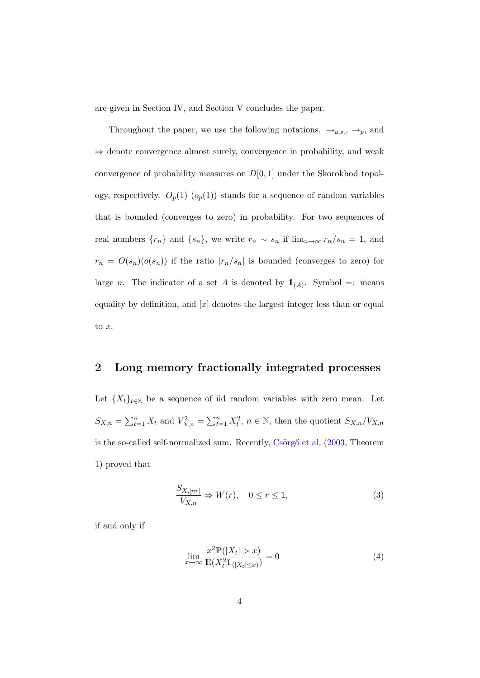are given in Section IV, and Section V concludes the paper.

Throughout the paper, we use the following notations.  $\rightarrow_{a.s.}, \rightarrow_p$ , and ⇒ denote convergence almost surely, convergence in probability, and weak convergence of probability measures on  $D[0, 1]$  under the Skorokhod topology, respectively.  $O_p(1)$   $(o_p(1))$  stands for a sequence of random variables that is bounded (converges to zero) in probability. For two sequences of real numbers  $\{r_n\}$  and  $\{s_n\}$ , we write  $r_n \sim s_n$  if  $\lim_{n\to\infty} r_n/s_n = 1$ , and  $r_n = O(s_n)(o(s_n))$  if the ratio  $|r_n/s_n|$  is bounded (converges to zero) for large *n*. The indicator of a set *A* is denoted by  $\mathbb{1}_{(A)}$ . Symbol =: means equality by definition, and  $[x]$  denotes the largest integer less than or equal to x.

## 2 Long memory fractionally integrated processes

Let  ${X_t}_{t \in \mathbb{Z}}$  be a sequence of iid random variables with zero mean. Let  $S_{X,n} = \sum_{t=1}^n X_t$  and  $V_{X,n}^2 = \sum_{t=1}^n X_t^2$ ,  $n \in \mathbb{N}$ , then the quotient  $S_{X,n}/V_{X,n}$ is the so-called self-normalized sum. Recently,  $\check{C}$ sörgő et al. [\(2003,](#page-28-3) Theorem 1) proved that

$$
\frac{S_{X,[nr]}}{V_{X,n}} \Rightarrow W(r), \quad 0 \le r \le 1,
$$
\n(3)

if and only if

$$
\lim_{x \to \infty} \frac{x^2 \mathbb{P}(|X_t| > x)}{\mathbb{E}(X_t^2 \mathbb{1}_{(|X_t| \le x)})} = 0
$$
\n(4)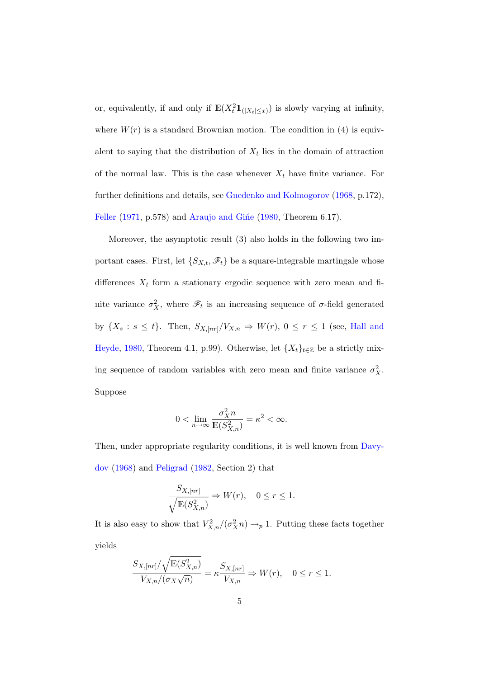or, equivalently, if and only if  $\mathbb{E}(X_t^2 1_{\{|X_t|\leq x\}})$  is slowly varying at infinity, where  $W(r)$  is a standard Brownian motion. The condition in (4) is equivalent to saying that the distribution of  $X_t$  lies in the domain of attraction of the normal law. This is the case whenever  $X_t$  have finite variance. For further definitions and details, see [Gnedenko and Kolmogorov](#page-29-4) [\(1968,](#page-29-4) p.172), [Feller](#page-29-5) [\(1971,](#page-29-5) p.578) and Araujo and Gine [\(1980,](#page-28-4) Theorem 6.17).

Moreover, the asymptotic result (3) also holds in the following two important cases. First, let  $\{S_{X,t}, \mathscr{F}_t\}$  be a square-integrable martingale whose differences  $X_t$  form a stationary ergodic sequence with zero mean and finite variance  $\sigma_X^2$ , where  $\mathscr{F}_t$  is an increasing sequence of  $\sigma$ -field generated by  $\{X_s : s \leq t\}$ . Then,  $S_{X, [nr]}/V_{X,n} \Rightarrow W(r)$ ,  $0 \leq r \leq 1$  (see, [Hall and](#page-30-5) [Heyde,](#page-30-5) [1980,](#page-30-5) Theorem 4.1, p.99). Otherwise, let  $\{X_t\}_{t\in\mathbb{Z}}$  be a strictly mixing sequence of random variables with zero mean and finite variance  $\sigma_X^2$ . Suppose

$$
0<\lim_{n\to\infty}\frac{\sigma_X^2n}{\mathbb{E}(S_{X,n}^2)}=\kappa^2<\infty.
$$

Then, under appropriate regularity conditions, it is well known from [Davy](#page-28-5)[dov](#page-28-5) [\(1968\)](#page-28-5) and [Peligrad](#page-31-5) [\(1982,](#page-31-5) Section 2) that

$$
\frac{S_{X,[nr]}}{\sqrt{\mathbb{E}(S_{X,n}^2)}} \Rightarrow W(r), \quad 0 \le r \le 1.
$$

It is also easy to show that  $V_{X,n}^2/(\sigma_X^2 n) \to_p 1$ . Putting these facts together yields

$$
\frac{S_{X,[nr]}/\sqrt{\mathbb{E}(S_{X,n}^2)}}{V_{X,n}/(\sigma_X\sqrt{n})} = \kappa \frac{S_{X,[nr]}}{V_{X,n}} \Rightarrow W(r), \quad 0 \le r \le 1.
$$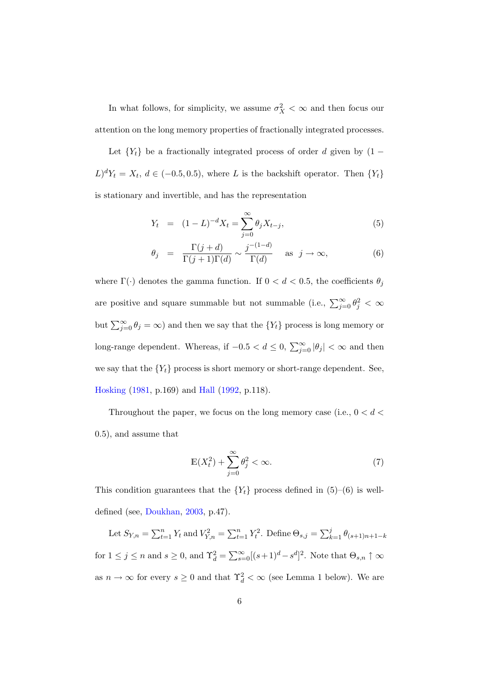In what follows, for simplicity, we assume  $\sigma_X^2 < \infty$  and then focus our attention on the long memory properties of fractionally integrated processes.

Let  ${Y_t}$  be a fractionally integrated process of order d given by (1 –  $L)^d Y_t = X_t, d \in (-0.5, 0.5)$ , where L is the backshift operator. Then  $\{Y_t\}$ is stationary and invertible, and has the representation

$$
Y_t = (1 - L)^{-d} X_t = \sum_{j=0}^{\infty} \theta_j X_{t-j}, \tag{5}
$$

$$
\theta_j = \frac{\Gamma(j+d)}{\Gamma(j+1)\Gamma(d)} \sim \frac{j^{-(1-d)}}{\Gamma(d)} \quad \text{as } j \to \infty,
$$
\n(6)

where  $\Gamma(\cdot)$  denotes the gamma function. If  $0 < d < 0.5$ , the coefficients  $\theta_j$ are positive and square summable but not summable (i.e.,  $\sum_{j=0}^{\infty} \theta_j^2 < \infty$ but  $\sum_{j=0}^{\infty} \theta_j = \infty$ ) and then we say that the  $\{Y_t\}$  process is long memory or long-range dependent. Whereas, if  $-0.5 < d \leq 0$ ,  $\sum_{j=0}^{\infty} |\theta_j| < \infty$  and then we say that the  ${Y_t}$  process is short memory or short-range dependent. See, [Hosking](#page-30-3) [\(1981,](#page-30-3) p.169) and [Hall](#page-30-6) [\(1992,](#page-30-6) p.118).

Throughout the paper, we focus on the long memory case (i.e.,  $0 < d <$ 0.5), and assume that

$$
\mathbb{E}(X_t^2) + \sum_{j=0}^{\infty} \theta_j^2 < \infty. \tag{7}
$$

This condition guarantees that the  ${Y<sub>t</sub>}$  process defined in (5)–(6) is welldefined (see, [Doukhan,](#page-29-6) [2003,](#page-29-6) p.47).

Let  $S_{Y,n} = \sum_{t=1}^{n} Y_t$  and  $V_{Y,n}^2 = \sum_{t=1}^{n} Y_t^2$ . Define  $\Theta_{s,j} = \sum_{k=1}^{j} \theta_{(s+1)n+1-k}$ for  $1 \leq j \leq n$  and  $s \geq 0$ , and  $\Upsilon_d^2 = \sum_{s=0}^{\infty} [(s+1)^d - s^d]^2$ . Note that  $\Theta_{s,n} \uparrow \infty$ as  $n \to \infty$  for every  $s \geq 0$  and that  $\Upsilon_d^2 < \infty$  (see Lemma 1 below). We are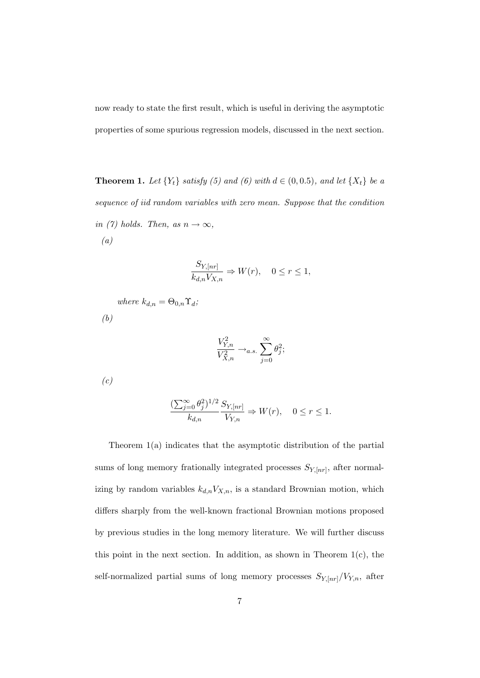now ready to state the first result, which is useful in deriving the asymptotic properties of some spurious regression models, discussed in the next section.

**Theorem 1.** Let  ${Y_t}$  satisfy (5) and (6) with  $d \in (0, 0.5)$ , and let  ${X_t}$  be a sequence of iid random variables with zero mean. Suppose that the condition in (7) holds. Then, as  $n \to \infty$ , (a)

$$
\frac{S_{Y, [nr]}}{k_{d,n}V_{X,n}} \Rightarrow W(r), \quad 0 \leq r \leq 1,
$$

where  $k_{d,n} = \Theta_{0,n} \Upsilon_d$ ; (b)

$$
\frac{V_{Y,n}^2}{V_{X,n}^2} \to_{a.s.} \sum_{j=0}^{\infty} \theta_j^2;
$$

 $(c)$ 

$$
\frac{(\sum_{j=0}^\infty \theta_j^2)^{1/2}}{k_{d,n}} \frac{S_{Y, [nr]}}{V_{Y,n}} \Rightarrow W(r), \quad 0 \leq r \leq 1.
$$

Theorem  $1(a)$  indicates that the asymptotic distribution of the partial sums of long memory frationally integrated processes  $S_{Y,[nr]}$ , after normalizing by random variables  $k_{d,n}V_{X,n}$ , is a standard Brownian motion, which differs sharply from the well-known fractional Brownian motions proposed by previous studies in the long memory literature. We will further discuss this point in the next section. In addition, as shown in Theorem  $1(c)$ , the self-normalized partial sums of long memory processes  $S_{Y, [nr]}/V_{Y,n}$ , after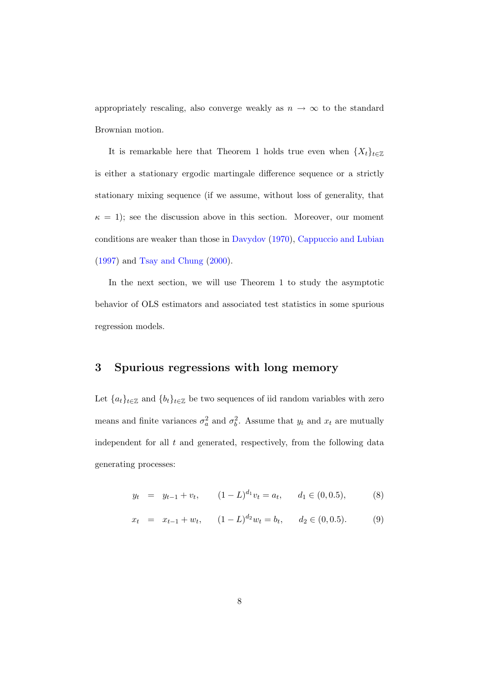appropriately rescaling, also converge weakly as  $n \to \infty$  to the standard Brownian motion.

It is remarkable here that Theorem 1 holds true even when  $\{X_t\}_{t\in\mathbb{Z}}$ is either a stationary ergodic martingale difference sequence or a strictly stationary mixing sequence (if we assume, without loss of generality, that  $\kappa = 1$ ; see the discussion above in this section. Moreover, our moment conditions are weaker than those in [Davydov](#page-28-2) [\(1970\)](#page-28-2), [Cappuccio and Lubian](#page-28-0) [\(1997\)](#page-28-0) and [Tsay and Chung](#page-32-0) [\(2000\)](#page-32-0).

In the next section, we will use Theorem 1 to study the asymptotic behavior of OLS estimators and associated test statistics in some spurious regression models.

## 3 Spurious regressions with long memory

Let  ${a_t}_{t \in \mathbb{Z}}$  and  ${b_t}_{t \in \mathbb{Z}}$  be two sequences of iid random variables with zero means and finite variances  $\sigma_a^2$  and  $\sigma_b^2$ . Assume that  $y_t$  and  $x_t$  are mutually independent for all  $t$  and generated, respectively, from the following data generating processes:

$$
y_t = y_{t-1} + v_t, \qquad (1 - L)^{d_1} v_t = a_t, \qquad d_1 \in (0, 0.5), \tag{8}
$$

$$
x_t = x_{t-1} + w_t, \qquad (1 - L)^{d_2} w_t = b_t, \qquad d_2 \in (0, 0.5). \tag{9}
$$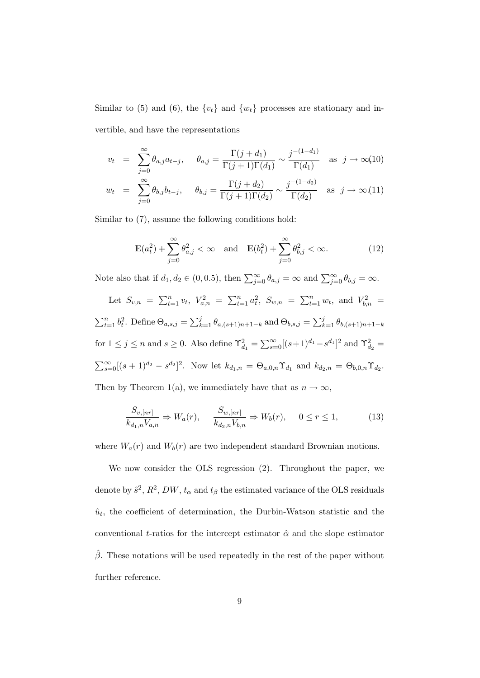Similar to (5) and (6), the  $\{v_t\}$  and  $\{w_t\}$  processes are stationary and invertible, and have the representations

$$
v_t = \sum_{j=0}^{\infty} \theta_{a,j} a_{t-j}, \quad \theta_{a,j} = \frac{\Gamma(j+d_1)}{\Gamma(j+1)\Gamma(d_1)} \sim \frac{j^{-(1-d_1)}}{\Gamma(d_1)} \text{ as } j \to \infty(10)
$$
  

$$
w_t = \sum_{j=0}^{\infty} \theta_{b,j} b_{t-j}, \quad \theta_{b,j} = \frac{\Gamma(j+d_2)}{\Gamma(j+1)\Gamma(d_2)} \sim \frac{j^{-(1-d_2)}}{\Gamma(d_2)} \text{ as } j \to \infty(11)
$$

Similar to (7), assume the following conditions hold:

$$
\mathbb{E}(a_t^2) + \sum_{j=0}^{\infty} \theta_{a,j}^2 < \infty \quad \text{and} \quad \mathbb{E}(b_t^2) + \sum_{j=0}^{\infty} \theta_{b,j}^2 < \infty. \tag{12}
$$

Note also that if  $d_1, d_2 \in (0, 0.5)$ , then  $\sum_{j=0}^{\infty} \theta_{a,j} = \infty$  and  $\sum_{j=0}^{\infty} \theta_{b,j} = \infty$ .

Let 
$$
S_{v,n} = \sum_{t=1}^{n} v_t
$$
,  $V_{a,n}^2 = \sum_{t=1}^{n} a_t^2$ ,  $S_{w,n} = \sum_{t=1}^{n} w_t$ , and  $V_{b,n}^2 = \sum_{t=1}^{n} b_t^2$ . Define  $\Theta_{a,s,j} = \sum_{k=1}^{j} \theta_{a,(s+1)n+1-k}$  and  $\Theta_{b,s,j} = \sum_{k=1}^{j} \theta_{b,(s+1)n+1-k}$   
for  $1 \le j \le n$  and  $s \ge 0$ . Also define  $\Upsilon_{d_1}^2 = \sum_{s=0}^{\infty} [(s+1)^{d_1} - s^{d_1}]^2$  and  $\Upsilon_{d_2}^2 = \sum_{s=0}^{\infty} [(s+1)^{d_2} - s^{d_2}]^2$ . Now let  $k_{d_1,n} = \Theta_{a,0,n} \Upsilon_{d_1}$  and  $k_{d_2,n} = \Theta_{b,0,n} \Upsilon_{d_2}$ .

Then by Theorem 1(a), we immediately have that as  $n \to \infty$ ,

$$
\frac{S_{v,[nr]}}{k_{d_1,n}V_{a,n}} \Rightarrow W_a(r), \qquad \frac{S_{w,[nr]}}{k_{d_2,n}V_{b,n}} \Rightarrow W_b(r), \qquad 0 \le r \le 1,
$$
\n(13)

where  $W_a(r)$  and  $W_b(r)$  are two independent standard Brownian motions.

We now consider the OLS regression (2). Throughout the paper, we denote by  $\hat{s}^2$ ,  $R^2$ ,  $DW$ ,  $t_{\alpha}$  and  $t_{\beta}$  the estimated variance of the OLS residuals  $\hat{u}_t$ , the coefficient of determination, the Durbin-Watson statistic and the conventional t-ratios for the intercept estimator  $\hat{\alpha}$  and the slope estimator  $\hat{\beta}$ . These notations will be used repeatedly in the rest of the paper without further reference.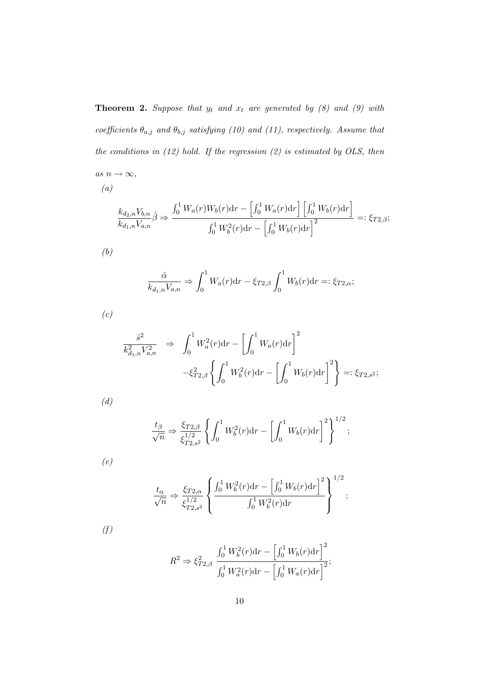**Theorem 2.** Suppose that  $y_t$  and  $x_t$  are generated by (8) and (9) with coefficients  $\theta_{a,j}$  and  $\theta_{b,j}$  satisfying (10) and (11), respectively. Assume that the conditions in  $(12)$  hold. If the regression  $(2)$  is estimated by OLS, then as  $n \to \infty$ ,

$$
(a)
$$

$$
\frac{k_{d_2,n}V_{b,n}}{k_{d_1,n}V_{a,n}}\hat{\beta} \Rightarrow \frac{\int_0^1 W_a(r)W_b(r)dr - \left[\int_0^1 W_a(r)dr\right]\left[\int_0^1 W_b(r)dr\right]}{\int_0^1 W_b^2(r)dr - \left[\int_0^1 W_b(r)dr\right]^2} =: \xi_{T2,\beta};
$$

(b)

$$
\frac{\hat{\alpha}}{k_{d_1,n}V_{a,n}} \Rightarrow \int_0^1 W_a(r) \mathrm{d}r - \xi_{T2,\beta} \int_0^1 W_b(r) \mathrm{d}r =: \xi_{T2,\alpha};
$$

(c)

$$
\frac{\hat{s}^2}{k_{d_1,n}^2 V_{a,n}^2} \Rightarrow \int_0^1 W_a^2(r) dr - \left[ \int_0^1 W_a(r) dr \right]^2
$$

$$
-\xi_{T2,\beta}^2 \left\{ \int_0^1 W_b^2(r) dr - \left[ \int_0^1 W_b(r) dr \right]^2 \right\} =: \xi_{T2,s^2};
$$

(d)

$$
\frac{t_{\beta}}{\sqrt{n}} \Rightarrow \frac{\xi_{T2,\beta}}{\xi_{T2,s^2}^{1/2}} \left\{ \int_0^1 W_b^2(r) dr - \left[ \int_0^1 W_b(r) dr \right]^2 \right\}^{1/2};
$$

(e)

$$
\frac{t_{\alpha}}{\sqrt{n}} \Rightarrow \frac{\xi_{T2,\alpha}}{\xi_{T2,s^2}^{1/2}} \left\{ \frac{\int_0^1 W_b^2(r) dr - \left[ \int_0^1 W_b(r) dr \right]^2}{\int_0^1 W_b^2(r) dr} \right\}^{1/2};
$$

 $(f)$ 

$$
R^{2} \Rightarrow \xi_{T2,\beta}^{2} \frac{\int_{0}^{1} W_{b}^{2}(r) dr - \left[\int_{0}^{1} W_{b}(r) dr\right]^{2}}{\int_{0}^{1} W_{a}^{2}(r) dr - \left[\int_{0}^{1} W_{a}(r) dr\right]^{2}};
$$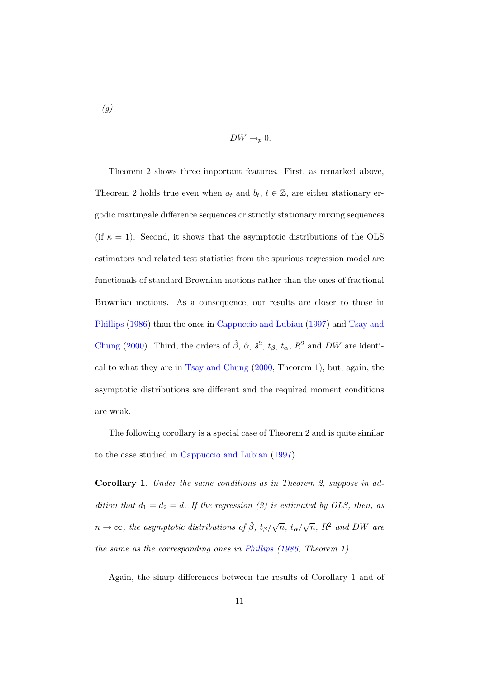(g)

$$
DW \to_p 0.
$$

Theorem 2 shows three important features. First, as remarked above, Theorem 2 holds true even when  $a_t$  and  $b_t$ ,  $t \in \mathbb{Z}$ , are either stationary ergodic martingale difference sequences or strictly stationary mixing sequences (if  $\kappa = 1$ ). Second, it shows that the asymptotic distributions of the OLS estimators and related test statistics from the spurious regression model are functionals of standard Brownian motions rather than the ones of fractional Brownian motions. As a consequence, our results are closer to those in [Phillips](#page-31-0) [\(1986\)](#page-31-0) than the ones in [Cappuccio and Lubian](#page-28-0) [\(1997\)](#page-28-0) and [Tsay and](#page-32-0) [Chung](#page-32-0) [\(2000\)](#page-32-0). Third, the orders of  $\hat{\beta}$ ,  $\hat{\alpha}$ ,  $\hat{s}^2$ ,  $t_{\beta}$ ,  $t_{\alpha}$ ,  $R^2$  and DW are identical to what they are in [Tsay and Chung](#page-32-0) [\(2000,](#page-32-0) Theorem 1), but, again, the asymptotic distributions are different and the required moment conditions are weak.

The following corollary is a special case of Theorem 2 and is quite similar to the case studied in [Cappuccio and Lubian](#page-28-0) [\(1997\)](#page-28-0).

Corollary 1. Under the same conditions as in Theorem 2, suppose in addition that  $d_1 = d_2 = d$ . If the regression (2) is estimated by OLS, then, as  $n \to \infty$ , the asymptotic distributions of  $\hat{\beta}$ ,  $t_{\beta}/\sqrt{n}$ ,  $t_{\alpha}/\sqrt{n}$ ,  $R^2$  and DW are the same as the corresponding ones in [Phillips](#page-31-0) [\(1986,](#page-31-0) Theorem 1).

Again, the sharp differences between the results of Corollary 1 and of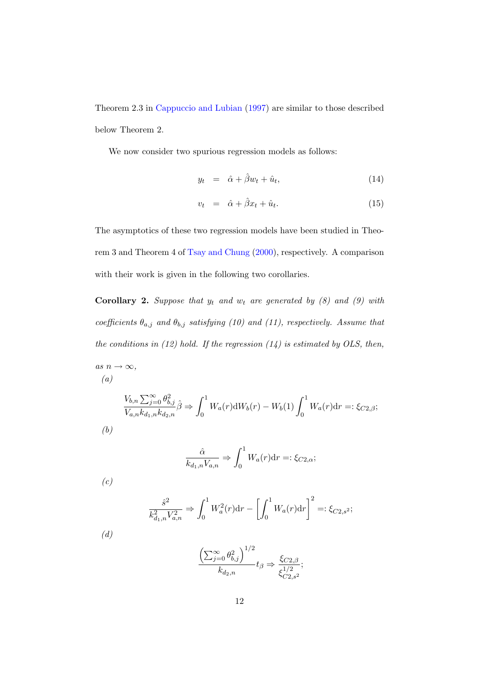Theorem 2.3 in [Cappuccio and Lubian](#page-28-0) [\(1997\)](#page-28-0) are similar to those described below Theorem 2.

We now consider two spurious regression models as follows:

$$
y_t = \hat{\alpha} + \hat{\beta} w_t + \hat{u}_t, \tag{14}
$$

$$
v_t = \hat{\alpha} + \hat{\beta}x_t + \hat{u}_t. \tag{15}
$$

The asymptotics of these two regression models have been studied in Theorem 3 and Theorem 4 of [Tsay and Chung](#page-32-0) [\(2000\)](#page-32-0), respectively. A comparison with their work is given in the following two corollaries.

**Corollary 2.** Suppose that  $y_t$  and  $w_t$  are generated by (8) and (9) with coefficients  $\theta_{a,j}$  and  $\theta_{b,j}$  satisfying (10) and (11), respectively. Assume that the conditions in  $(12)$  hold. If the regression  $(14)$  is estimated by OLS, then, as  $n \to \infty$ ,

 $(a)$ 

$$
\frac{V_{b,n}\sum_{j=0}^{\infty}\theta_{b,j}^{2}}{V_{a,n}k_{d_{1},n}k_{d_{2},n}}\hat{\beta} \Rightarrow \int_{0}^{1} W_{a}(r)dW_{b}(r) - W_{b}(1)\int_{0}^{1} W_{a}(r)dr =: \xi_{C2,\beta};
$$
\n(b)

$$
\frac{\hat{\alpha}}{k_{d_1,n}V_{a,n}} \Rightarrow \int_0^1 W_a(r) \mathrm{d}r =: \xi_{C2,\alpha};
$$

 $(c)$ 

$$
\frac{\hat{s}^2}{k_{d_1,n}^2 V_{a,n}^2} \Rightarrow \int_0^1 W_a^2(r) dr - \left[ \int_0^1 W_a(r) dr \right]^2 =: \xi_{C2,s^2};
$$

(d)

$$
\frac{\left(\sum_{j=0}^{\infty} \theta_{b,j}^2\right)^{1/2}}{k_{d_2,n}} t_{\beta} \Rightarrow \frac{\xi_{C2,\beta}}{\xi_{C2,s^2}^{1/2}};
$$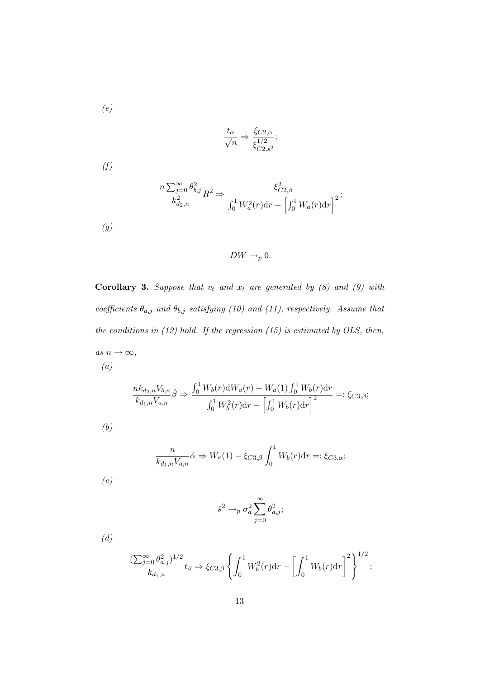(e)

$$
\frac{t_{\alpha}}{\sqrt{n}} \Rightarrow \frac{\xi_{C2,\alpha}}{\xi_{C2,s^2}^{1/2}};
$$

 $(f)$ 

$$
\frac{n\sum_{j=0}^{\infty}\theta_{b,j}^{2}}{k_{d_{2},n}^{2}}R^{2} \Rightarrow \frac{\xi_{C2,\beta}^{2}}{\int_{0}^{1}W_{a}^{2}(r)\mathrm{d}r - \left[\int_{0}^{1}W_{a}(r)\mathrm{d}r\right]^{2}};
$$

 $\left(g\right)$ 

 $DW \to_p 0$ .

Corollary 3. Suppose that  $v_t$  and  $x_t$  are generated by (8) and (9) with coefficients  $\theta_{a,j}$  and  $\theta_{b,j}$  satisfying (10) and (11), respectively. Assume that the conditions in  $(12)$  hold. If the regression  $(15)$  is estimated by OLS, then, as  $n \to \infty$ , (a)

$$
\frac{nk_{d_2,n}V_{b,n}}{k_{d_1,n}V_{a,n}}\hat{\beta} \Rightarrow \frac{\int_0^1 W_b(r) \mathrm{d}W_a(r) - W_a(1) \int_0^1 W_b(r) \mathrm{d}r}{\int_0^1 W_b^2(r) \mathrm{d}r - \left[\int_0^1 W_b(r) \mathrm{d}r\right]^2} =: \xi_{C3,\beta};
$$

(b)

$$
\frac{n}{k_{d_1,n}V_{a,n}}\hat{\alpha} \Rightarrow W_a(1) - \xi_{C3,\beta} \int_0^1 W_b(r) \, \mathrm{d}r =: \xi_{C3,\alpha};
$$

(c)

$$
\hat{s}^2 \to_p \sigma_a^2 \sum_{j=0}^{\infty} \theta_{a,j}^2;
$$

(d)

$$
\frac{(\sum_{j=0}^{\infty}\theta_{a,j}^2)^{1/2}}{k_{d_1,n}}t_{\beta} \Rightarrow \xi_{C3,\beta}\left\{\int_0^1 W_b^2(r){\rm d}r - \left[\int_0^1 W_b(r){\rm d}r\right]^2\right\}^{1/2};
$$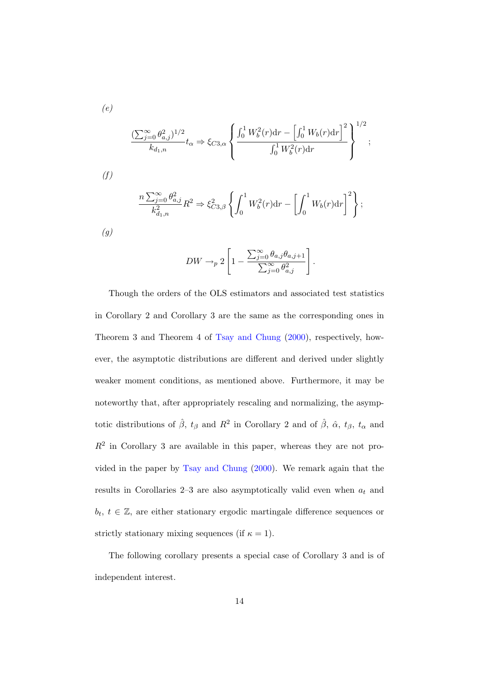$$
\frac{(\sum_{j=0}^{\infty} \theta_{a,j}^2)^{1/2}}{k_{d_1,n}} t_{\alpha} \Rightarrow \xi_{C3,\alpha} \left\{ \frac{\int_0^1 W_b^2(r) dr - \left[\int_0^1 W_b(r) dr\right]^2}{\int_0^1 W_b^2(r) dr} \right\}^{1/2};
$$
  
(f)  

$$
n \sum_{i=0}^{\infty} \theta_i^2.
$$

$$
\frac{n \sum_{j=0}^{\infty} \theta_{a,j}^2}{k_{d_1,n}^2} R^2 \Rightarrow \xi_{C3,\beta}^2 \left\{ \int_0^1 W_b^2(r) dr - \left[ \int_0^1 W_b(r) dr \right]^2 \right\};
$$

(g)

(e)

$$
DW \to_p 2\left[1 - \frac{\sum_{j=0}^{\infty} \theta_{a,j} \theta_{a,j+1}}{\sum_{j=0}^{\infty} \theta_{a,j}^2}\right].
$$

Though the orders of the OLS estimators and associated test statistics in Corollary 2 and Corollary 3 are the same as the corresponding ones in Theorem 3 and Theorem 4 of [Tsay and Chung](#page-32-0) [\(2000\)](#page-32-0), respectively, however, the asymptotic distributions are different and derived under slightly weaker moment conditions, as mentioned above. Furthermore, it may be noteworthy that, after appropriately rescaling and normalizing, the asymptotic distributions of  $\hat{\beta}$ ,  $t_{\beta}$  and  $R^2$  in Corollary 2 and of  $\hat{\beta}$ ,  $\hat{\alpha}$ ,  $t_{\beta}$ ,  $t_{\alpha}$  and  $R<sup>2</sup>$  in Corollary 3 are available in this paper, whereas they are not provided in the paper by [Tsay and Chung](#page-32-0) [\(2000\)](#page-32-0). We remark again that the results in Corollaries 2–3 are also asymptotically valid even when  $a_t$  and  $b_t, t \in \mathbb{Z}$ , are either stationary ergodic martingale difference sequences or strictly stationary mixing sequences (if  $\kappa = 1$ ).

The following corollary presents a special case of Corollary 3 and is of independent interest.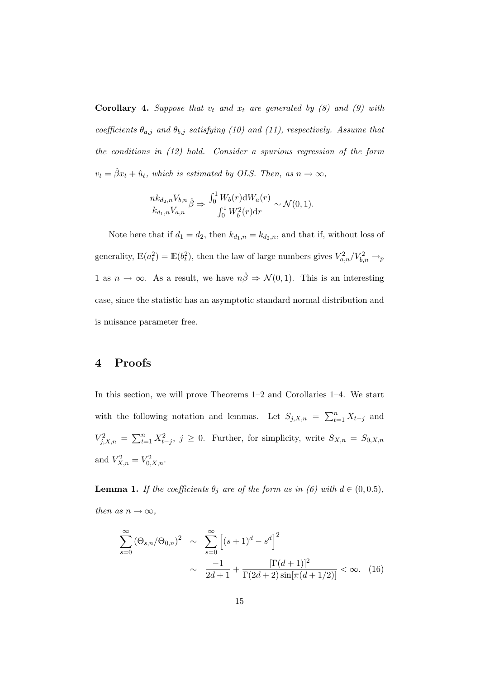**Corollary 4.** Suppose that  $v_t$  and  $x_t$  are generated by (8) and (9) with coefficients  $\theta_{a,j}$  and  $\theta_{b,j}$  satisfying (10) and (11), respectively. Assume that the conditions in (12) hold. Consider a spurious regression of the form  $v_t = \hat{\beta}x_t + \hat{u}_t$ , which is estimated by OLS. Then, as  $n \to \infty$ ,

$$
\frac{nk_{d_2,n}V_{b,n}}{k_{d_1,n}V_{a,n}}\hat{\beta} \Rightarrow \frac{\int_0^1 W_b(r) \mathrm{d}W_a(r)}{\int_0^1 W_b^2(r) \mathrm{d}r} \sim \mathcal{N}(0,1).
$$

Note here that if  $d_1 = d_2$ , then  $k_{d_1,n} = k_{d_2,n}$ , and that if, without loss of generality,  $\mathbb{E}(a_t^2) = \mathbb{E}(b_t^2)$ , then the law of large numbers gives  $V_{a,n}^2 / V_{b,n}^2 \rightarrow_p$ 1 as  $n \to \infty$ . As a result, we have  $n\hat{\beta} \Rightarrow \mathcal{N}(0, 1)$ . This is an interesting case, since the statistic has an asymptotic standard normal distribution and is nuisance parameter free.

### 4 Proofs

In this section, we will prove Theorems 1–2 and Corollaries 1–4. We start with the following notation and lemmas. Let  $S_{j,X,n} = \sum_{t=1}^{n} X_{t-j}$  and  $V_{j,X,n}^2 = \sum_{t=1}^n X_{t-j}^2$ ,  $j \ge 0$ . Further, for simplicity, write  $S_{X,n} = S_{0,X,n}$ and  $V_{X,n}^2 = V_{0,X,n}^2$ .

**Lemma 1.** If the coefficients  $\theta_j$  are of the form as in (6) with  $d \in (0, 0.5)$ , then as  $n \to \infty$ ,

$$
\sum_{s=0}^{\infty} (\Theta_{s,n}/\Theta_{0,n})^2 \sim \sum_{s=0}^{\infty} \left[ (s+1)^d - s^d \right]^2
$$
  
 
$$
\sim \frac{-1}{2d+1} + \frac{[\Gamma(d+1)]^2}{\Gamma(2d+2)\sin[\pi(d+1/2)]} < \infty. \quad (16)
$$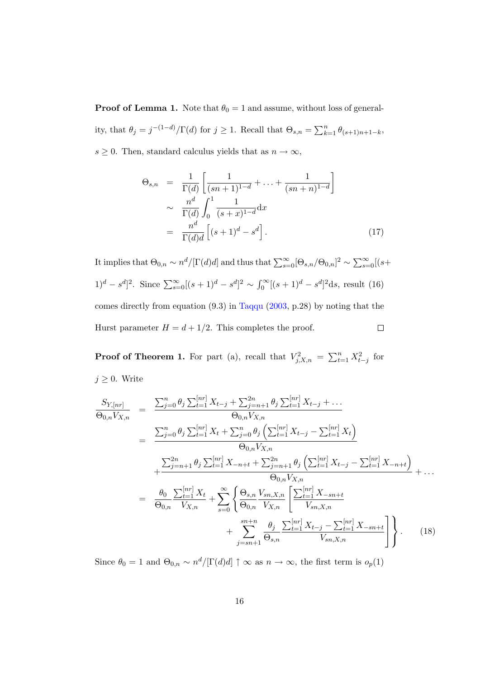**Proof of Lemma 1.** Note that  $\theta_0 = 1$  and assume, without loss of generality, that  $\theta_j = j^{-(1-d)}/\Gamma(d)$  for  $j \ge 1$ . Recall that  $\Theta_{s,n} = \sum_{k=1}^n \theta_{(s+1)n+1-k}$ ,  $s\geq 0.$  Then, standard calculus yields that as  $n\to\infty,$ 

$$
\Theta_{s,n} = \frac{1}{\Gamma(d)} \left[ \frac{1}{(sn+1)^{1-d}} + \dots + \frac{1}{(sn+n)^{1-d}} \right] \n\sim \frac{n^d}{\Gamma(d)} \int_0^1 \frac{1}{(s+x)^{1-d}} dx \n= \frac{n^d}{\Gamma(d)d} \left[ (s+1)^d - s^d \right].
$$
\n(17)

It implies that  $\Theta_{0,n} \sim n^d/[\Gamma(d)d]$  and thus that  $\sum_{s=0}^{\infty} [\Theta_{s,n}/\Theta_{0,n}]^2 \sim \sum_{s=0}^{\infty} [(s+\Theta_{0,n}/\Theta_{0,n})^2]$ 1)<sup>d</sup> – s<sup>d</sup>]<sup>2</sup>. Since  $\sum_{s=0}^{\infty} [(s+1)^d - s^d]^2 \sim \int_0^{\infty} [(s+1)^d - s^d]^2 ds$ , result (16) comes directly from equation (9.3) in [Taqqu](#page-32-3) [\(2003,](#page-32-3) p.28) by noting that the Hurst parameter  $H = d + 1/2$ . This completes the proof.  $\Box$ 

**Proof of Theorem 1.** For part (a), recall that  $V_{j,X,n}^2 = \sum_{t=1}^n X_{t-j}^2$  for  $j \geq 0$ . Write

$$
\frac{S_{Y,[nr]}}{\Theta_{0,n}V_{X,n}} = \frac{\sum_{j=0}^{n} \theta_{j} \sum_{t=1}^{[nr]} X_{t-j} + \sum_{j=n+1}^{2n} \theta_{j} \sum_{t=1}^{[nr]} X_{t-j} + \dots}{\Theta_{0,n}V_{X,n}} \n= \frac{\sum_{j=0}^{n} \theta_{j} \sum_{t=1}^{[nr]} X_{t} + \sum_{j=0}^{n} \theta_{j} \left( \sum_{t=1}^{[nr]} X_{t-j} - \sum_{t=1}^{[nr]} X_{t} \right)}{\Theta_{0,n}V_{X,n}} \n+ \frac{\sum_{j=n+1}^{2n} \theta_{j} \sum_{t=1}^{[nr]} X_{-n+t} + \sum_{j=n+1}^{2n} \theta_{j} \left( \sum_{t=1}^{[nr]} X_{t-j} - \sum_{t=1}^{[nr]} X_{-n+t} \right)}{\Theta_{0,n}V_{X,n}} + \dots \n= \frac{\theta_{0}}{\Theta_{0,n}} \frac{\sum_{t=1}^{[nr]} X_{t}}{V_{X,n}} + \sum_{s=0}^{\infty} \left\{ \frac{\Theta_{s,n} V_{sn,X,n}}{\Theta_{0,n}} \left[ \frac{\sum_{t=1}^{[nr]} X_{-sn+t}}{V_{sn,X,n}} + \sum_{j=sn+1}^{sn+n} \frac{\theta_{j}}{\Theta_{s,n}} \frac{\sum_{t=1}^{[nr]} X_{t-j} - \sum_{t=1}^{[nr]} X_{-sn+t}}{V_{sn,X,n}} \right] \right\}.
$$
\n(18)

Since  $\theta_0 = 1$  and  $\Theta_{0,n} \sim n^d/[\Gamma(d)d] \uparrow \infty$  as  $n \to \infty$ , the first term is  $o_p(1)$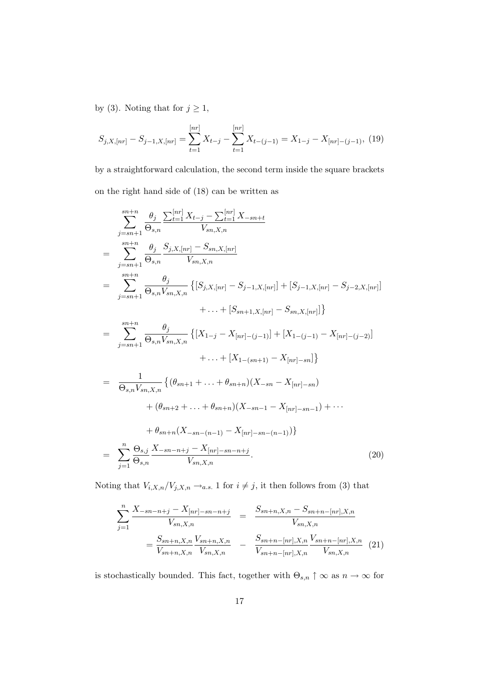by (3). Noting that for  $j \ge 1$ ,

$$
S_{j,X,[nr]} - S_{j-1,X,[nr]} = \sum_{t=1}^{[nr]} X_{t-j} - \sum_{t=1}^{[nr]} X_{t-(j-1)} = X_{1-j} - X_{[nr]-(j-1)}, \tag{19}
$$

by a straightforward calculation, the second term inside the square brackets on the right hand side of (18) can be written as

$$
\sum_{j=sn+1}^{sn+n} \frac{\theta_j}{\theta_{s,n}} \frac{\sum_{t=1}^{[nr]} X_{t-j} - \sum_{t=1}^{[nr]} X_{-sn+t}}{V_{sn,X,n}}
$$
\n
$$
= \sum_{j=sn+1}^{sn+n} \frac{\theta_j}{\theta_{s,n}} \frac{S_{j,X,[nr]} - S_{sn,X,[nr]}}{V_{sn,X,n}} \left\{ [S_{j,X,[nr]} - S_{j-1,X,[nr]}] + [S_{j-1,X,[nr]} - S_{j-2,X,[nr]}] + \dots + [S_{sn+1,X,[nr]} - S_{sn,X,[nr]}] \right\}
$$
\n
$$
+ \dots + [S_{sn+1,X,[nr]} - S_{sn,X,[nr]}] \}
$$
\n
$$
= \sum_{j=sn+1}^{sn+n} \frac{\theta_j}{\theta_{s,n}V_{sn,X,n}} \left\{ [X_{1-j} - X_{[nr] - (j-1)}] + [X_{1-(j-1)} - X_{[nr] - (j-2)}] + \dots + [X_{1-(sn+1)} - X_{[nr] - sn]} \right\}
$$
\n
$$
+ \dots + [X_{1-(sn+1)} - X_{[nr] - sn}] \}
$$
\n
$$
+ (\theta_{sn+2} + \dots + \theta_{sn+n}) (X_{-sn-1} - X_{[nr] - sn-1}) + \dots + (\theta_{sn+n} (X_{-sn-(n-1)} - X_{[nr] - sn-(n-1)}))
$$
\n
$$
= \sum_{j=1}^{n} \frac{\theta_{s,j}}{\theta_{s,n}} \frac{X_{-sn-n+j} - X_{[nr] - sn-n+j}}{V_{sn,X,n}}.
$$
\n(20)

Noting that  $V_{i,X,n}/V_{j,X,n} \rightarrow_{a.s.} 1$  for  $i \neq j$ , it then follows from (3) that

$$
\sum_{j=1}^{n} \frac{X_{-sn-n+j} - X_{[nr]-sn-n+j}}{V_{sn,X,n}} = \frac{S_{sn+n,X,n} - S_{sn+n-[nr],X,n}}{V_{sn,X,n}}
$$

$$
= \frac{S_{sn+n,X,n} V_{sn+n,X,n}}{V_{sn+,n,X,n} V_{sn,X,n}} - \frac{S_{sn+n-[nr],X,n} V_{sn+n-[nr],X,n}}{V_{sn+n-[nr],X,n} V_{sn,X,n}} (21)
$$

is stochastically bounded. This fact, together with  $\Theta_{s,n} \uparrow \infty$  as  $n \to \infty$  for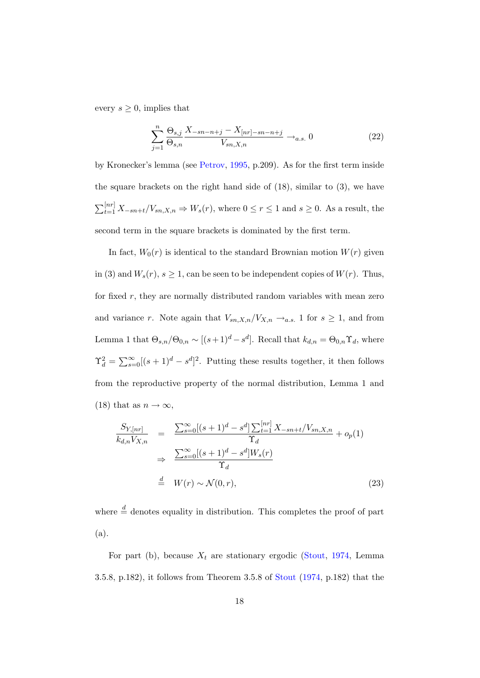every  $s \geq 0$ , implies that

$$
\sum_{j=1}^{n} \frac{\Theta_{s,j}}{\Theta_{s,n}} \frac{X_{-sn-n+j} - X_{[nr]-sn-n+j}}{V_{sn,X,n}} \rightarrow_{a.s.} 0
$$
 (22)

by Kronecker's lemma (see [Petrov,](#page-31-6) [1995,](#page-31-6) p.209). As for the first term inside the square brackets on the right hand side of  $(18)$ , similar to  $(3)$ , we have  $\sum_{t=1}^{[nr]} X_{-sn+t}/V_{sn,X,n} \Rightarrow W_s(r)$ , where  $0 \le r \le 1$  and  $s \ge 0$ . As a result, the second term in the square brackets is dominated by the first term.

In fact,  $W_0(r)$  is identical to the standard Brownian motion  $W(r)$  given in (3) and  $W_s(r)$ ,  $s \geq 1$ , can be seen to be independent copies of  $W(r)$ . Thus, for fixed  $r$ , they are normally distributed random variables with mean zero and variance r. Note again that  $V_{sn,X,n}/V_{X,n} \rightarrow_{a.s.} 1$  for  $s \geq 1$ , and from Lemma 1 that  $\Theta_{s,n}/\Theta_{0,n} \sim [(s+1)^d - s^d]$ . Recall that  $k_{d,n} = \Theta_{0,n} \Upsilon_d$ , where  $\Upsilon_d^2 = \sum_{s=0}^{\infty} [(s+1)^d - s^d]^2$ . Putting these results together, it then follows from the reproductive property of the normal distribution, Lemma 1 and (18) that as  $n \to \infty$ ,

$$
\frac{S_{Y,[nr]}}{k_{d,n}V_{X,n}} = \frac{\sum_{s=0}^{\infty}[(s+1)^d - s^d] \sum_{t=1}^{[nr]} X_{-sn+t}/V_{sn,X,n}}{\Upsilon_d} + o_p(1)
$$
\n
$$
\Rightarrow \frac{\sum_{s=0}^{\infty}[(s+1)^d - s^d]W_s(r)}{\Upsilon_d}
$$
\n
$$
\stackrel{d}{=} W(r) \sim \mathcal{N}(0,r),
$$
\n(23)

where  $\stackrel{d}{=}$  denotes equality in distribution. This completes the proof of part (a).

For part (b), because  $X_t$  are stationary ergodic [\(Stout,](#page-32-4) [1974,](#page-32-4) Lemma 3.5.8, p.182), it follows from Theorem 3.5.8 of [Stout](#page-32-4) [\(1974,](#page-32-4) p.182) that the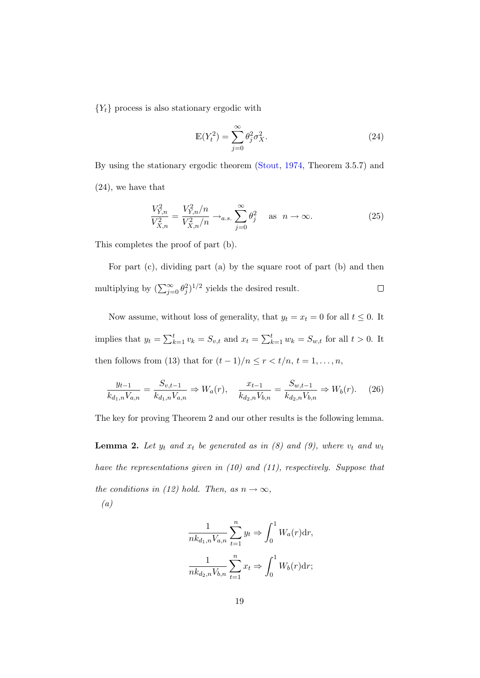${Y_t}$  process is also stationary ergodic with

$$
\mathbb{E}(Y_t^2) = \sum_{j=0}^{\infty} \theta_j^2 \sigma_X^2.
$$
 (24)

By using the stationary ergodic theorem [\(Stout,](#page-32-4) [1974,](#page-32-4) Theorem 3.5.7) and (24), we have that

$$
\frac{V_{Y,n}^2}{V_{X,n}^2} = \frac{V_{Y,n}^2/n}{V_{X,n}^2/n} \to_{a.s.} \sum_{j=0}^{\infty} \theta_j^2 \quad \text{as} \ \ n \to \infty. \tag{25}
$$

This completes the proof of part (b).

For part (c), dividing part (a) by the square root of part (b) and then multiplying by  $(\sum_{j=0}^{\infty} \theta_j^2)^{1/2}$  yields the desired result.  $\Box$ 

Now assume, without loss of generality, that  $y_t = x_t = 0$  for all  $t \leq 0$ . It implies that  $y_t = \sum_{k=1}^t v_k = S_{v,t}$  and  $x_t = \sum_{k=1}^t w_k = S_{w,t}$  for all  $t > 0$ . It then follows from (13) that for  $(t-1)/n \le r < t/n$ ,  $t = 1, ..., n$ ,

$$
\frac{y_{t-1}}{k_{d_1,n}V_{a,n}} = \frac{S_{v,t-1}}{k_{d_1,n}V_{a,n}} \Rightarrow W_a(r), \quad \frac{x_{t-1}}{k_{d_2,n}V_{b,n}} = \frac{S_{w,t-1}}{k_{d_2,n}V_{b,n}} \Rightarrow W_b(r). \tag{26}
$$

The key for proving Theorem 2 and our other results is the following lemma.

**Lemma 2.** Let  $y_t$  and  $x_t$  be generated as in (8) and (9), where  $v_t$  and  $w_t$ have the representations given in (10) and (11), respectively. Suppose that the conditions in (12) hold. Then, as  $n \to \infty$ , (a)

$$
\frac{1}{nk_{d_1,n}V_{a,n}}\sum_{t=1}^n y_t \Rightarrow \int_0^1 W_a(r)dr,
$$

$$
\frac{1}{nk_{d_2,n}V_{b,n}}\sum_{t=1}^n x_t \Rightarrow \int_0^1 W_b(r)dr;
$$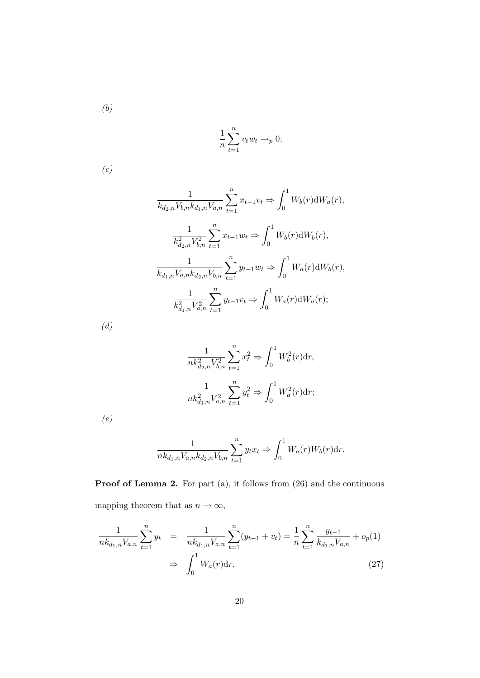(b)

$$
\frac{1}{n}\sum_{t=1}^{n} v_t w_t \rightarrow_p 0;
$$

(c)

$$
\frac{1}{k_{d_2,n}V_{b,n}k_{d_1,n}V_{a,n}}\sum_{t=1}^n x_{t-1}v_t \Rightarrow \int_0^1 W_b(r)\mathrm{d}W_a(r),
$$

$$
\frac{1}{k_{d_2,n}^2V_{b,n}^2}\sum_{t=1}^n x_{t-1}w_t \Rightarrow \int_0^1 W_b(r)\mathrm{d}W_b(r),
$$

$$
\frac{1}{k_{d_1,n}V_{a,n}k_{d_2,n}V_{b,n}}\sum_{t=1}^n y_{t-1}w_t \Rightarrow \int_0^1 W_a(r)\mathrm{d}W_b(r),
$$

$$
\frac{1}{k_{d_1,n}^2V_{a,n}^2}\sum_{t=1}^n y_{t-1}v_t \Rightarrow \int_0^1 W_a(r)\mathrm{d}W_a(r);
$$

 $\left( d\right)$ 

$$
\frac{1}{nk_{d_2,n}^2 V_{b,n}^2} \sum_{t=1}^n x_t^2 \Rightarrow \int_0^1 W_b^2(r) dr,
$$
  

$$
\frac{1}{nk_{d_1,n}^2 V_{a,n}^2} \sum_{t=1}^n y_t^2 \Rightarrow \int_0^1 W_a^2(r) dr;
$$

(e)

$$
\frac{1}{nk_{d_1,n}V_{a,n}k_{d_2,n}V_{b,n}}\sum_{t=1}^n y_t x_t \Rightarrow \int_0^1 W_a(r)W_b(r)dr.
$$

Proof of Lemma 2. For part (a), it follows from  $(26)$  and the continuous mapping theorem that as  $n\to\infty,$ 

$$
\frac{1}{nk_{d_1,n}V_{a,n}} \sum_{t=1}^n y_t = \frac{1}{nk_{d_1,n}V_{a,n}} \sum_{t=1}^n (y_{t-1} + v_t) = \frac{1}{n} \sum_{t=1}^n \frac{y_{t-1}}{k_{d_1,n}V_{a,n}} + o_p(1)
$$
\n
$$
\Rightarrow \int_0^1 W_a(r) dr.
$$
\n(27)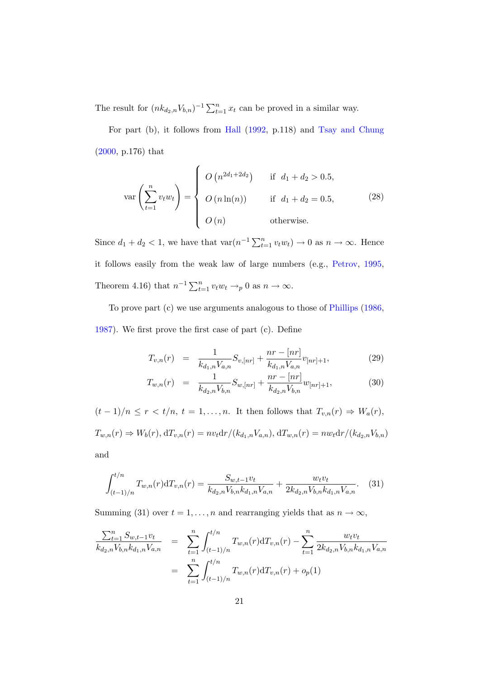The result for  $(nk_{d_2,n}V_{b,n})^{-1}\sum_{t=1}^n x_t$  can be proved in a similar way.

For part (b), it follows from [Hall](#page-30-6) [\(1992,](#page-30-6) p.118) and [Tsay and Chung](#page-32-0) [\(2000,](#page-32-0) p.176) that

$$
\text{var}\left(\sum_{t=1}^{n} v_t w_t\right) = \begin{cases} O\left(n^{2d_1 + 2d_2}\right) & \text{if } d_1 + d_2 > 0.5, \\ O\left(n \ln(n)\right) & \text{if } d_1 + d_2 = 0.5, \\ O\left(n\right) & \text{otherwise.} \end{cases}
$$
(28)

Since  $d_1 + d_2 < 1$ , we have that  $\text{var}(n^{-1} \sum_{t=1}^n v_t w_t) \to 0$  as  $n \to \infty$ . Hence it follows easily from the weak law of large numbers (e.g., [Petrov,](#page-31-6) [1995,](#page-31-6) Theorem 4.16) that  $n^{-1} \sum_{t=1}^{n} v_t w_t \rightarrow_p 0$  as  $n \rightarrow \infty$ .

To prove part (c) we use arguments analogous to those of [Phillips](#page-31-0) [\(1986,](#page-31-0) [1987\)](#page-31-7). We first prove the first case of part (c). Define

$$
T_{v,n}(r) = \frac{1}{k_{d_1,n} V_{a,n}} S_{v,[nr]} + \frac{nr - [nr]}{k_{d_1,n} V_{a,n}} v_{[nr]+1},
$$
\n(29)

$$
T_{w,n}(r) = \frac{1}{k_{d_2,n} V_{b,n}} S_{w,[nr]} + \frac{nr - [nr]}{k_{d_2,n} V_{b,n}} w_{[nr]+1},
$$
\n(30)

 $(t-1)/n \le r < t/n$ ,  $t = 1,...,n$ . It then follows that  $T_{v,n}(r) \Rightarrow W_a(r)$ ,  $T_{w,n}(r) \Rightarrow W_b(r)$ ,  $dT_{v,n}(r) = nv_t dr/(k_{d_1,n}V_{a,n})$ ,  $dT_{w,n}(r) = nw_t dr/(k_{d_2,n}V_{b,n})$ and

$$
\int_{(t-1)/n}^{t/n} T_{w,n}(r) dT_{v,n}(r) = \frac{S_{w,t-1}v_t}{k_{d_2,n}V_{b,n}k_{d_1,n}V_{a,n}} + \frac{w_t v_t}{2k_{d_2,n}V_{b,n}k_{d_1,n}V_{a,n}}.
$$
 (31)

Summing (31) over  $t = 1, ..., n$  and rearranging yields that as  $n \to \infty$ ,

$$
\frac{\sum_{t=1}^{n} S_{w,t-1}v_t}{k_{d_2,n}V_{b,n}k_{d_1,n}V_{a,n}} = \sum_{t=1}^{n} \int_{(t-1)/n}^{t/n} T_{w,n}(r) dT_{v,n}(r) - \sum_{t=1}^{n} \frac{w_t v_t}{2k_{d_2,n}V_{b,n}k_{d_1,n}V_{a,n}}
$$
\n
$$
= \sum_{t=1}^{n} \int_{(t-1)/n}^{t/n} T_{w,n}(r) dT_{v,n}(r) + o_p(1)
$$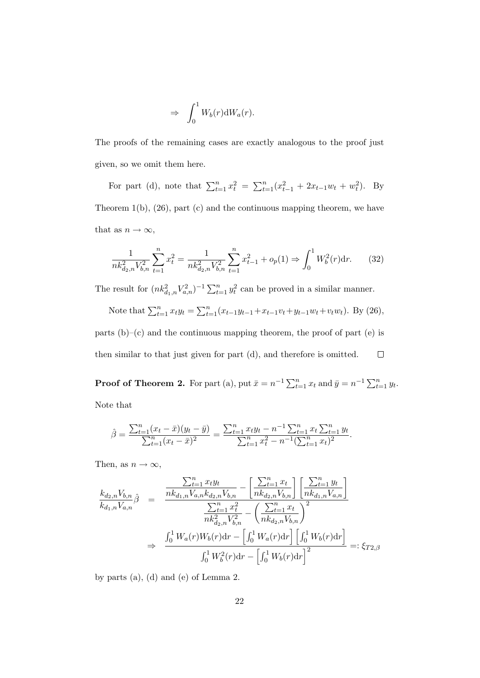$$
\Rightarrow \int_0^1 W_b(r) \mathrm{d}W_a(r).
$$

The proofs of the remaining cases are exactly analogous to the proof just given, so we omit them here.

For part (d), note that  $\sum_{t=1}^{n} x_t^2 = \sum_{t=1}^{n} (x_{t-1}^2 + 2x_{t-1}w_t + w_t^2)$ . By Theorem 1(b), (26), part (c) and the continuous mapping theorem, we have that as  $n \to \infty$ ,

$$
\frac{1}{nk_{d_2,n}^2 V_{b,n}^2} \sum_{t=1}^n x_t^2 = \frac{1}{nk_{d_2,n}^2 V_{b,n}^2} \sum_{t=1}^n x_{t-1}^2 + o_p(1) \Rightarrow \int_0^1 W_b^2(r) dr.
$$
 (32)

The result for  $(nk_{d_1,n}^2 V_{a,n}^2)^{-1} \sum_{t=1}^n y_t^2$  can be proved in a similar manner.

Note that  $\sum_{t=1}^{n} x_t y_t = \sum_{t=1}^{n} (x_{t-1}y_{t-1}+x_{t-1}v_t+y_{t-1}w_t+v_tw_t)$ . By (26), parts  $(b)$ – $(c)$  and the continuous mapping theorem, the proof of part  $(e)$  is then similar to that just given for part (d), and therefore is omitted.  $\Box$ 

**Proof of Theorem 2.** For part (a), put  $\bar{x} = n^{-1} \sum_{t=1}^{n} x_t$  and  $\bar{y} = n^{-1} \sum_{t=1}^{n} y_t$ . Note that

$$
\hat{\beta} = \frac{\sum_{t=1}^{n} (x_t - \bar{x})(y_t - \bar{y})}{\sum_{t=1}^{n} (x_t - \bar{x})^2} = \frac{\sum_{t=1}^{n} x_t y_t - n^{-1} \sum_{t=1}^{n} x_t \sum_{t=1}^{n} y_t}{\sum_{t=1}^{n} x_t^2 - n^{-1} (\sum_{t=1}^{n} x_t)^2}.
$$

Then, as  $n \to \infty$ ,

$$
\frac{k_{d_2,n}V_{b,n}}{k_{d_1,n}V_{a,n}}\hat{\beta} = \frac{\frac{\sum_{t=1}^{n} x_t y_t}{nk_{d_1,n}V_{a,n}k_{d_2,n}V_{b,n}} - \left[\frac{\sum_{t=1}^{n} x_t}{nk_{d_2,n}V_{b,n}}\right] \left[\frac{\sum_{t=1}^{n} y_t}{nk_{d_1,n}V_{a,n}}\right]}{\frac{\sum_{t=1}^{n} x_t^2}{nk_{d_2,n}V_{b,n}^2} - \left(\frac{\sum_{t=1}^{n} x_t}{nk_{d_2,n}V_{b,n}}\right)^2}
$$
\n
$$
\Rightarrow \frac{\int_0^1 W_a(r)W_b(r)dr - \left[\int_0^1 W_a(r)dr\right] \left[\int_0^1 W_b(r)dr\right]}{\int_0^1 W_b^2(r)dr - \left[\int_0^1 W_b(r)dr\right]^2} =: \xi_{T2,\beta}
$$

by parts (a), (d) and (e) of Lemma 2.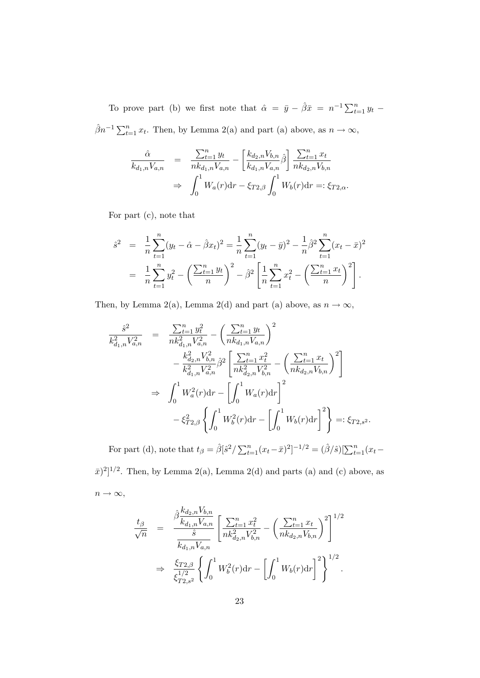To prove part (b) we first note that  $\hat{\alpha} = \bar{y} - \hat{\beta}\bar{x} = n^{-1}\sum_{t=1}^{n} y_t$  $\hat{\beta}n^{-1}\sum_{t=1}^{n}x_{t}$ . Then, by Lemma 2(a) and part (a) above, as  $n \to \infty$ ,

$$
\frac{\hat{\alpha}}{k_{d_1,n}V_{a,n}} = \frac{\sum_{t=1}^n y_t}{nk_{d_1,n}V_{a,n}} - \left[\frac{k_{d_2,n}V_{b,n}}{k_{d_1,n}V_{a,n}}\hat{\beta}\right] \frac{\sum_{t=1}^n x_t}{nk_{d_2,n}V_{b,n}} \n\Rightarrow \int_0^1 W_a(r)dr - \xi_{T2,\beta} \int_0^1 W_b(r)dr =: \xi_{T2,\alpha}.
$$

For part (c), note that

$$
\hat{s}^2 = \frac{1}{n} \sum_{t=1}^n (y_t - \hat{\alpha} - \hat{\beta}x_t)^2 = \frac{1}{n} \sum_{t=1}^n (y_t - \bar{y})^2 - \frac{1}{n} \hat{\beta}^2 \sum_{t=1}^n (x_t - \bar{x})^2
$$

$$
= \frac{1}{n} \sum_{t=1}^n y_t^2 - \left(\frac{\sum_{t=1}^n y_t}{n}\right)^2 - \hat{\beta}^2 \left[\frac{1}{n} \sum_{t=1}^n x_t^2 - \left(\frac{\sum_{t=1}^n x_t}{n}\right)^2\right].
$$

Then, by Lemma 2(a), Lemma 2(d) and part (a) above, as  $n \to \infty$ ,

$$
\frac{\hat{s}^2}{k_{d_{1,n}}^2 V_{a,n}^2} = \frac{\sum_{t=1}^n y_t^2}{nk_{d_{1,n}}^2 V_{a,n}^2} - \left(\frac{\sum_{t=1}^n y_t}{nk_{d_{1,n}} V_{a,n}}\right)^2 \n- \frac{k_{d_{2,n}}^2 V_{b,n}^2}{k_{d_{1,n}}^2 V_{a,n}^2} \hat{\beta}^2 \left[\frac{\sum_{t=1}^n x_t^2}{nk_{d_{2,n}}^2 V_{b,n}^2} - \left(\frac{\sum_{t=1}^n x_t}{nk_{d_{2,n}} V_{b,n}}\right)^2\right] \n\Rightarrow \int_0^1 W_a^2(r) dr - \left[\int_0^1 W_a(r) dr\right]^2 \n- \xi_{T2,\beta}^2 \left\{\int_0^1 W_b^2(r) dr - \left[\int_0^1 W_b(r) dr\right]^2\right\} =: \xi_{T2,s2}.
$$

For part (d), note that  $t_{\beta} = \hat{\beta}[\hat{s}^2 / \sum_{t=1}^n (x_t - \bar{x})^2]^{-1/2} = (\hat{\beta}/\hat{s})[\sum_{t=1}^n (x_t - \bar{x})^2]^{-1/2}$ 

 $(\bar{x})^2$ <sup>1/2</sup>. Then, by Lemma 2(a), Lemma 2(d) and parts (a) and (c) above, as  $n \to \infty$ ,

$$
\frac{t_{\beta}}{\sqrt{n}} = \frac{\hat{\beta} \frac{k_{d_2,n} V_{b,n}}{k_{d_1,n} V_{a,n}} \left[ \frac{\sum_{t=1}^n x_t^2}{nk_{d_2,n}^2 V_{b,n}^2} - \left( \frac{\sum_{t=1}^n x_t}{nk_{d_2,n} V_{b,n}} \right)^2 \right]^{1/2}}{\frac{\xi_{T2,\beta}}{k_{d_1,n} V_{a,n}} \left\{ \int_0^1 W_b^2(r) dr - \left[ \int_0^1 W_b(r) dr \right]^2 \right\}^{1/2}.
$$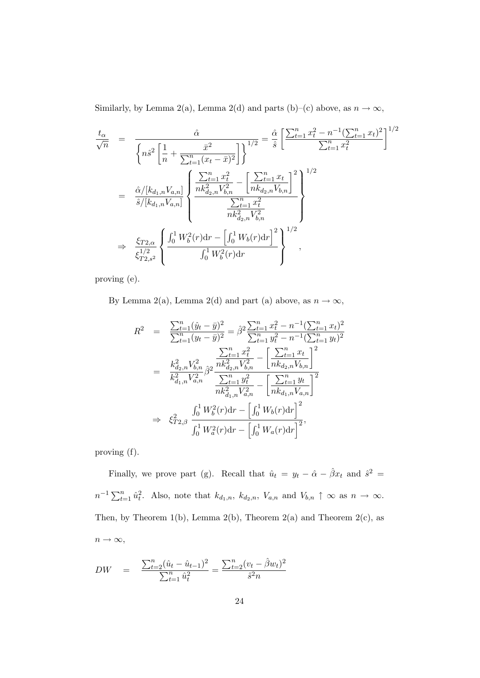Similarly, by Lemma 2(a), Lemma 2(d) and parts (b)–(c) above, as  $n \to \infty$ ,

$$
\frac{t_{\alpha}}{\sqrt{n}} = \frac{\hat{\alpha}}{\left\{ n \hat{s}^{2} \left[ \frac{1}{n} + \frac{\bar{x}^{2}}{\sum_{t=1}^{n} (x_{t} - \bar{x})^{2}} \right] \right\}^{1/2}} = \frac{\hat{\alpha}}{\hat{s}} \left[ \frac{\sum_{t=1}^{n} x_{t}^{2} - n^{-1} (\sum_{t=1}^{n} x_{t})^{2}}{\sum_{t=1}^{n} x_{t}^{2}} \right]^{1/2}
$$
\n
$$
= \frac{\hat{\alpha} / [k_{d_{1},n} V_{a,n}]}{\hat{s} / [k_{d_{1},n} V_{a,n}]} \left\{ \frac{\frac{\sum_{t=1}^{n} x_{t}^{2}}{nk_{d_{2},n}^{2} V_{b,n}^{2}} - \left[ \frac{\sum_{t=1}^{n} x_{t}}{nk_{d_{2},n} V_{b,n}} \right]^{2}}{\frac{\sum_{t=1}^{n} x_{t}^{2}}{nk_{d_{2},n}^{2} V_{b,n}^{2}}} \right\}
$$
\n
$$
\Rightarrow \frac{\xi_{T2,\alpha}}{\xi_{T2,s}^{1/2}} \left\{ \frac{\int_{0}^{1} W_{b}^{2}(r) dr - \left[ \int_{0}^{1} W_{b}(r) dr \right]^{2}}{\int_{0}^{1} W_{b}^{2}(r) dr} \right\}^{1/2},
$$

proving (e).

By Lemma 2(a), Lemma 2(d) and part (a) above, as  $n\to\infty,$ 

$$
R^{2} = \frac{\sum_{t=1}^{n} (\hat{y}_{t} - \bar{y})^{2}}{\sum_{t=1}^{n} (y_{t} - \bar{y})^{2}} = \hat{\beta}^{2} \frac{\sum_{t=1}^{n} x_{t}^{2} - n^{-1} (\sum_{t=1}^{n} x_{t})^{2}}{\sum_{t=1}^{n} y_{t}^{2} - n^{-1} (\sum_{t=1}^{n} y_{t})^{2}}
$$
  

$$
= \frac{k_{d_{2,n}}^{2} V_{b,n}^{2}}{k_{d_{1,n}}^{2} V_{a,n}^{2}} \hat{\beta}^{2} \frac{\frac{\sum_{t=1}^{n} x_{t}^{2}}{nk_{d_{2,n}}^{2} V_{b,n}^{2}} - \left[\frac{\sum_{t=1}^{n} x_{t}}{nk_{d_{2,n}} V_{b,n}}\right]^{2}}{\frac{\sum_{t=1}^{n} y_{t}^{2}}{nk_{d_{1,n}}^{2} V_{a,n}^{2}} - \left[\frac{\sum_{t=1}^{n} y_{t}}{nk_{d_{1,n}} V_{a,n}}\right]^{2}}
$$
  

$$
\Rightarrow \xi_{T^{2},\beta}^{2} \frac{\int_{0}^{1} W_{b}^{2}(r) dr - \left[\int_{0}^{1} W_{b}(r) dr\right]^{2}}{\int_{0}^{1} W_{a}^{2}(r) dr - \left[\int_{0}^{1} W_{a}(r) dr\right]^{2}},
$$

proving (f).

Finally, we prove part (g). Recall that  $\hat{u}_t = y_t - \hat{\alpha} - \hat{\beta} x_t$  and  $\hat{s}^2 =$  $n^{-1}\sum_{t=1}^n \hat{u}_t^2$ . Also, note that  $k_{d_1,n}$ ,  $k_{d_2,n}$ ,  $V_{a,n}$  and  $V_{b,n} \uparrow \infty$  as  $n \to \infty$ . Then, by Theorem 1(b), Lemma 2(b), Theorem 2(a) and Theorem 2(c), as  $n \to \infty$ ,

$$
DW = \frac{\sum_{t=2}^{n} (\hat{u}_t - \hat{u}_{t-1})^2}{\sum_{t=1}^{n} \hat{u}_t^2} = \frac{\sum_{t=2}^{n} (v_t - \hat{\beta}w_t)^2}{\hat{s}^2 n}
$$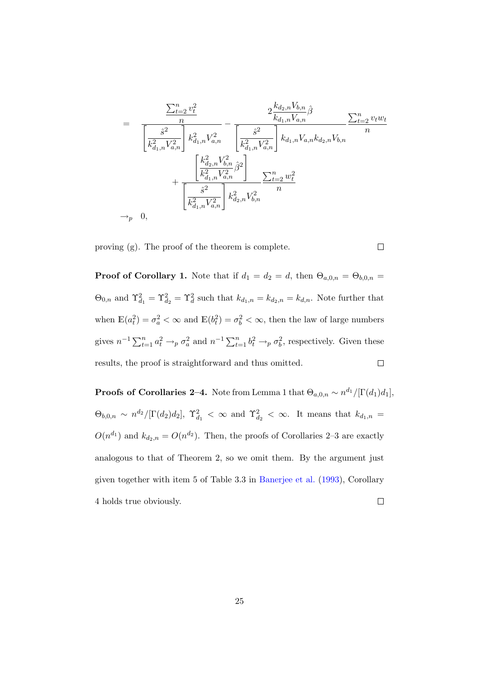$$
= \frac{\frac{\sum_{t=2}^{n} v_t^2}{n}}{\left[\frac{\hat{s}^2}{k_{d_1,n}^2 V_{d,n}^2}\right] k_{d_1,n}^2 V_{d,n}^2} - \frac{2 \frac{k_{d_2,n} V_{b,n}}{k_{d_1,n} V_{d,n}} \hat{\beta}}{\left[\frac{\hat{s}^2}{k_{d_1,n}^2 V_{d,n}^2}\right] k_{d_1,n} V_{a,n} k_{d_2,n} V_{b,n}} \frac{\left[\frac{k_{d_2,n}^2 V_{b,n}^2}{k_{d_1,n}^2 V_{d,n}^2}\right] k_{d_1,n} V_{a,n} k_{d_2,n} V_{b,n}}{\left[\frac{\hat{s}^2}{k_{d_1,n}^2 V_{d,n}^2}\right] k_{d_2,n}^2 V_{b,n}^2} \frac{\sum_{t=2}^{n} w_t^2}{n}
$$
  
\n
$$
\rightarrow_p 0,
$$

 $\Box$ 

proving (g). The proof of the theorem is complete.

**Proof of Corollary 1.** Note that if  $d_1 = d_2 = d$ , then  $\Theta_{a,0,n} = \Theta_{b,0,n}$  $\Theta_{0,n}$  and  $\Upsilon_{d_1}^2 = \Upsilon_{d_2}^2 = \Upsilon_d^2$  such that  $k_{d_1,n} = k_{d_2,n} = k_{d,n}$ . Note further that when  $\mathbb{E}(a_t^2) = \sigma_a^2 < \infty$  and  $\mathbb{E}(b_t^2) = \sigma_b^2 < \infty$ , then the law of large numbers gives  $n^{-1} \sum_{t=1}^n a_t^2 \to_p \sigma_a^2$  and  $n^{-1} \sum_{t=1}^n b_t^2 \to_p \sigma_b^2$ , respectively. Given these  $\Box$ results, the proof is straightforward and thus omitted.

**Proofs of Corollaries 2–4.** Note from Lemma 1 that  $\Theta_{a,0,n} \sim n^{d_1} / [\Gamma(d_1) d_1]$ ,  $\Theta_{b,0,n} \sim n^{d_2}/[\Gamma(d_2)d_2], \ \Upsilon_{d_1}^2 \langle \infty \rangle$  and  $\Upsilon_{d_2}^2 \langle \infty \rangle$ . It means that  $k_{d_1,n} =$  $O(n^{d_1})$  and  $k_{d_2,n} = O(n^{d_2})$ . Then, the proofs of Corollaries 2–3 are exactly analogous to that of Theorem 2, so we omit them. By the argument just given together with item 5 of Table 3.3 in [Banerjee et al.](#page-28-6) [\(1993\)](#page-28-6), Corollary 4 holds true obviously.  $\Box$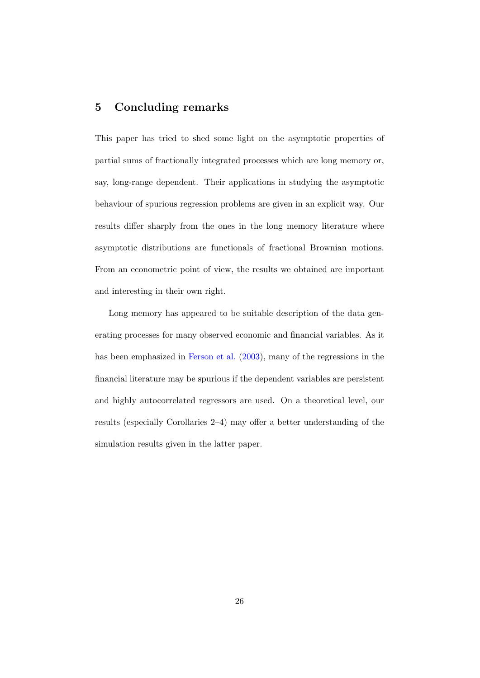## 5 Concluding remarks

This paper has tried to shed some light on the asymptotic properties of partial sums of fractionally integrated processes which are long memory or, say, long-range dependent. Their applications in studying the asymptotic behaviour of spurious regression problems are given in an explicit way. Our results differ sharply from the ones in the long memory literature where asymptotic distributions are functionals of fractional Brownian motions. From an econometric point of view, the results we obtained are important and interesting in their own right.

Long memory has appeared to be suitable description of the data generating processes for many observed economic and financial variables. As it has been emphasized in [Ferson et al.](#page-29-7) [\(2003\)](#page-29-7), many of the regressions in the financial literature may be spurious if the dependent variables are persistent and highly autocorrelated regressors are used. On a theoretical level, our results (especially Corollaries 2–4) may offer a better understanding of the simulation results given in the latter paper.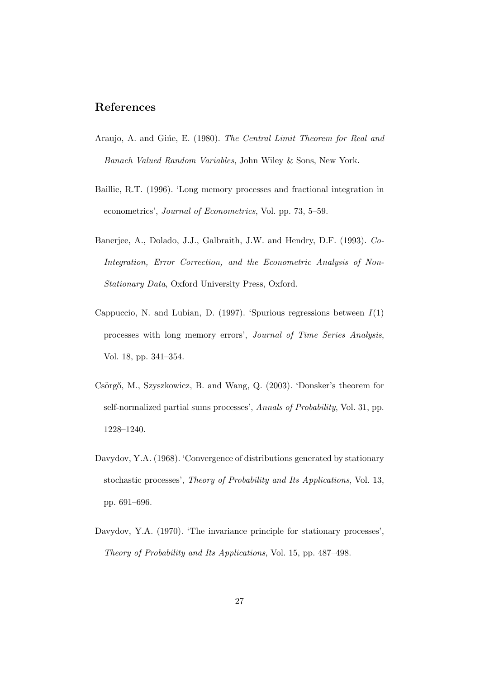## References

- <span id="page-28-4"></span>Araujo, A. and Gine, E. (1980). The Central Limit Theorem for Real and Banach Valued Random Variables, John Wiley & Sons, New York.
- <span id="page-28-1"></span>Baillie, R.T. (1996). 'Long memory processes and fractional integration in econometrics', Journal of Econometrics, Vol. pp. 73, 5–59.
- <span id="page-28-6"></span>Banerjee, A., Dolado, J.J., Galbraith, J.W. and Hendry, D.F. (1993). Co-Integration, Error Correction, and the Econometric Analysis of Non-Stationary Data, Oxford University Press, Oxford.
- <span id="page-28-0"></span>Cappuccio, N. and Lubian, D. (1997). 'Spurious regressions between  $I(1)$ processes with long memory errors', Journal of Time Series Analysis, Vol. 18, pp. 341–354.
- <span id="page-28-3"></span>Csörgő, M., Szyszkowicz, B. and Wang, Q. (2003). 'Donsker's theorem for self-normalized partial sums processes', Annals of Probability, Vol. 31, pp. 1228–1240.
- <span id="page-28-5"></span>Davydov, Y.A. (1968). 'Convergence of distributions generated by stationary stochastic processes', Theory of Probability and Its Applications, Vol. 13, pp. 691–696.
- <span id="page-28-2"></span>Davydov, Y.A. (1970). 'The invariance principle for stationary processes', Theory of Probability and Its Applications, Vol. 15, pp. 487–498.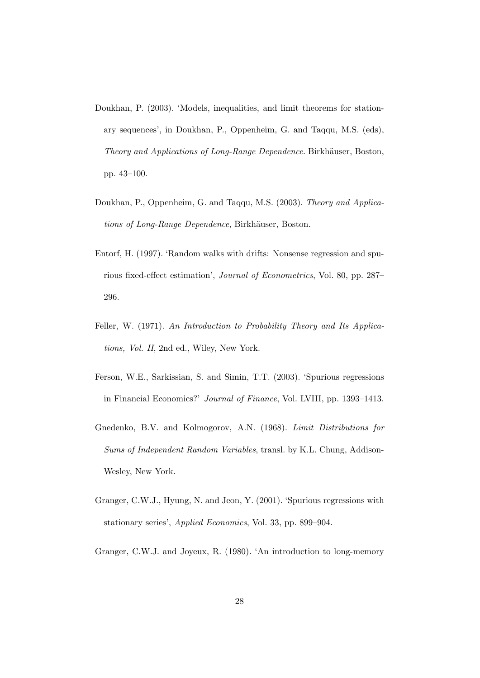- <span id="page-29-6"></span>Doukhan, P. (2003). 'Models, inequalities, and limit theorems for stationary sequences', in Doukhan, P., Oppenheim, G. and Taqqu, M.S. (eds), Theory and Applications of Long-Range Dependence. Birkhäuser, Boston, pp. 43–100.
- <span id="page-29-3"></span>Doukhan, P., Oppenheim, G. and Taqqu, M.S. (2003). Theory and Applications of Long-Range Dependence, Birkhäuser, Boston.
- <span id="page-29-0"></span>Entorf, H. (1997). 'Random walks with drifts: Nonsense regression and spurious fixed-effect estimation', Journal of Econometrics, Vol. 80, pp. 287– 296.
- <span id="page-29-5"></span>Feller, W. (1971). An Introduction to Probability Theory and Its Applications, Vol. II, 2nd ed., Wiley, New York.
- <span id="page-29-7"></span>Ferson, W.E., Sarkissian, S. and Simin, T.T. (2003). 'Spurious regressions in Financial Economics?' Journal of Finance, Vol. LVIII, pp. 1393–1413.
- <span id="page-29-4"></span>Gnedenko, B.V. and Kolmogorov, A.N. (1968). Limit Distributions for Sums of Independent Random Variables, transl. by K.L. Chung, Addison-Wesley, New York.
- <span id="page-29-1"></span>Granger, C.W.J., Hyung, N. and Jeon, Y. (2001). 'Spurious regressions with stationary series', Applied Economics, Vol. 33, pp. 899–904.
- <span id="page-29-2"></span>Granger, C.W.J. and Joyeux, R. (1980). 'An introduction to long-memory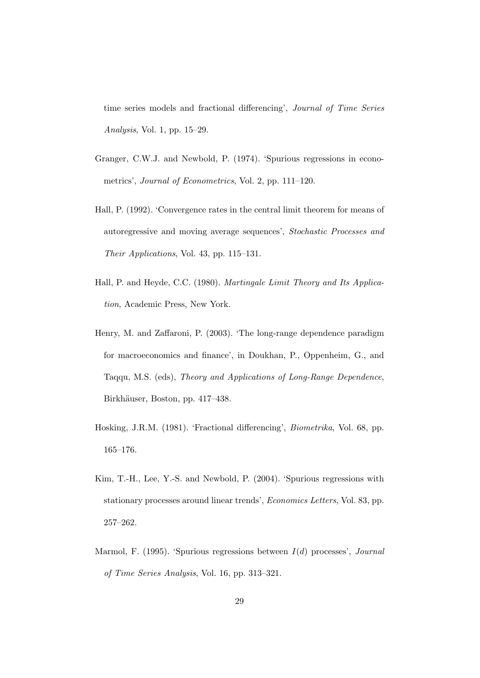time series models and fractional differencing', Journal of Time Series Analysis, Vol. 1, pp. 15–29.

- <span id="page-30-0"></span>Granger, C.W.J. and Newbold, P. (1974). 'Spurious regressions in econometrics', Journal of Econometrics, Vol. 2, pp. 111–120.
- <span id="page-30-6"></span>Hall, P. (1992). 'Convergence rates in the central limit theorem for means of autoregressive and moving average sequences', Stochastic Processes and Their Applications, Vol. 43, pp. 115–131.
- <span id="page-30-5"></span>Hall, P. and Heyde, C.C. (1980). Martingale Limit Theory and Its Application, Academic Press, New York.
- <span id="page-30-4"></span>Henry, M. and Zaffaroni, P. (2003). 'The long-range dependence paradigm for macroeconomics and finance', in Doukhan, P., Oppenheim, G., and Taqqu, M.S. (eds), Theory and Applications of Long-Range Dependence, Birkhäuser, Boston, pp. 417–438.
- <span id="page-30-3"></span>Hosking, J.R.M. (1981). 'Fractional differencing', Biometrika, Vol. 68, pp. 165–176.
- <span id="page-30-2"></span>Kim, T.-H., Lee, Y.-S. and Newbold, P. (2004). 'Spurious regressions with stationary processes around linear trends', Economics Letters, Vol. 83, pp. 257–262.
- <span id="page-30-1"></span>Marmol, F. (1995). 'Spurious regressions between  $I(d)$  processes', *Journal* of Time Series Analysis, Vol. 16, pp. 313–321.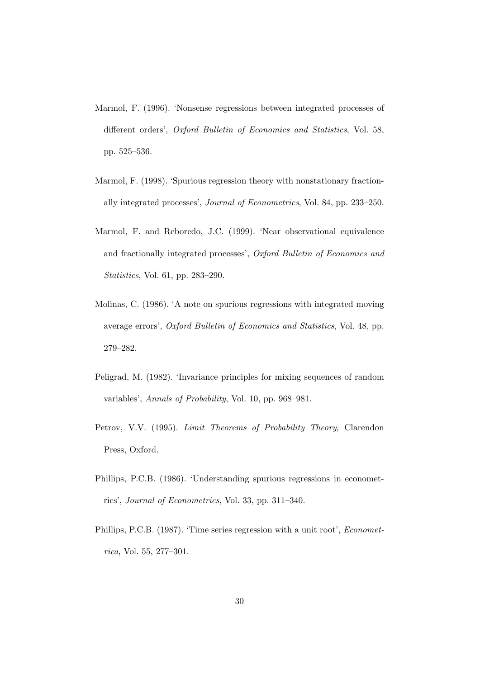- <span id="page-31-1"></span>Marmol, F. (1996). 'Nonsense regressions between integrated processes of different orders', Oxford Bulletin of Economics and Statistics, Vol. 58, pp. 525–536.
- <span id="page-31-3"></span>Marmol, F. (1998). 'Spurious regression theory with nonstationary fractionally integrated processes', Journal of Econometrics, Vol. 84, pp. 233–250.
- <span id="page-31-4"></span>Marmol, F. and Reboredo, J.C. (1999). 'Near observational equivalence and fractionally integrated processes', Oxford Bulletin of Economics and Statistics, Vol. 61, pp. 283–290.
- <span id="page-31-2"></span>Molinas, C. (1986). 'A note on spurious regressions with integrated moving average errors', Oxford Bulletin of Economics and Statistics, Vol. 48, pp. 279–282.
- <span id="page-31-5"></span>Peligrad, M. (1982). 'Invariance principles for mixing sequences of random variables', Annals of Probability, Vol. 10, pp. 968–981.
- <span id="page-31-6"></span>Petrov, V.V. (1995). Limit Theorems of Probability Theory, Clarendon Press, Oxford.
- <span id="page-31-0"></span>Phillips, P.C.B. (1986). 'Understanding spurious regressions in econometrics', Journal of Econometrics, Vol. 33, pp. 311–340.
- <span id="page-31-7"></span>Phillips, P.C.B. (1987). 'Time series regression with a unit root', Econometrica, Vol. 55, 277–301.